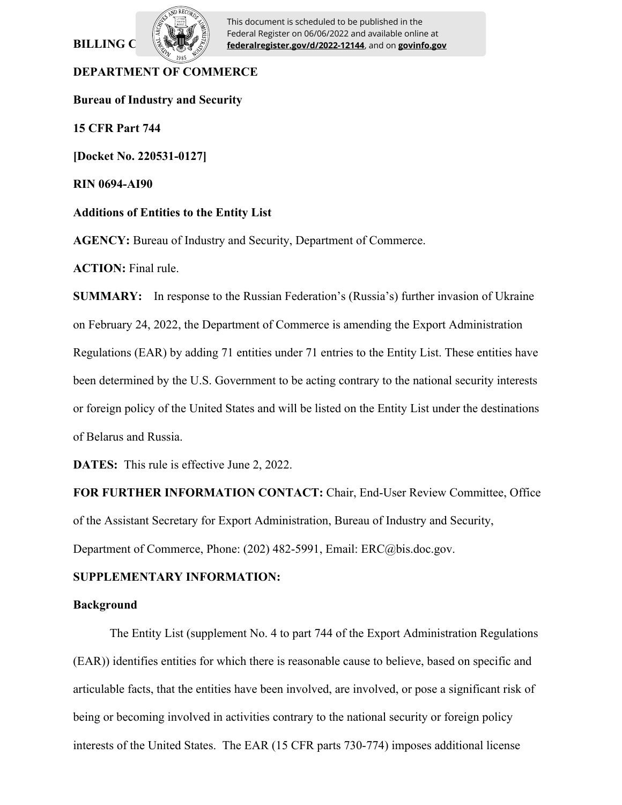# **BILLING C**



This document is scheduled to be published in the Federal Register on 06/06/2022 and available online at **federalregister.gov/d/2022-12144**, and on **govinfo.gov**

## **DEPARTMENT OF COMMERCE**

**Bureau of Industry and Security**

**15 CFR Part 744**

**[Docket No. 220531-0127]**

**RIN 0694-AI90**

### **Additions of Entities to the Entity List**

**AGENCY:** Bureau of Industry and Security, Department of Commerce.

**ACTION:** Final rule.

**SUMMARY:** In response to the Russian Federation's (Russia's) further invasion of Ukraine on February 24, 2022, the Department of Commerce is amending the Export Administration Regulations (EAR) by adding 71 entities under 71 entries to the Entity List. These entities have been determined by the U.S. Government to be acting contrary to the national security interests or foreign policy of the United States and will be listed on the Entity List under the destinations of Belarus and Russia.

**DATES:** This rule is effective June 2, 2022.

**FOR FURTHER INFORMATION CONTACT:** Chair, End-User Review Committee, Office of the Assistant Secretary for Export Administration, Bureau of Industry and Security,

Department of Commerce, Phone: (202) 482-5991, Email: ERC@bis.doc.gov.

# **SUPPLEMENTARY INFORMATION:**

### **Background**

The Entity List (supplement No. 4 to part 744 of the Export Administration Regulations (EAR)) identifies entities for which there is reasonable cause to believe, based on specific and articulable facts, that the entities have been involved, are involved, or pose a significant risk of being or becoming involved in activities contrary to the national security or foreign policy interests of the United States. The EAR (15 CFR parts 730-774) imposes additional license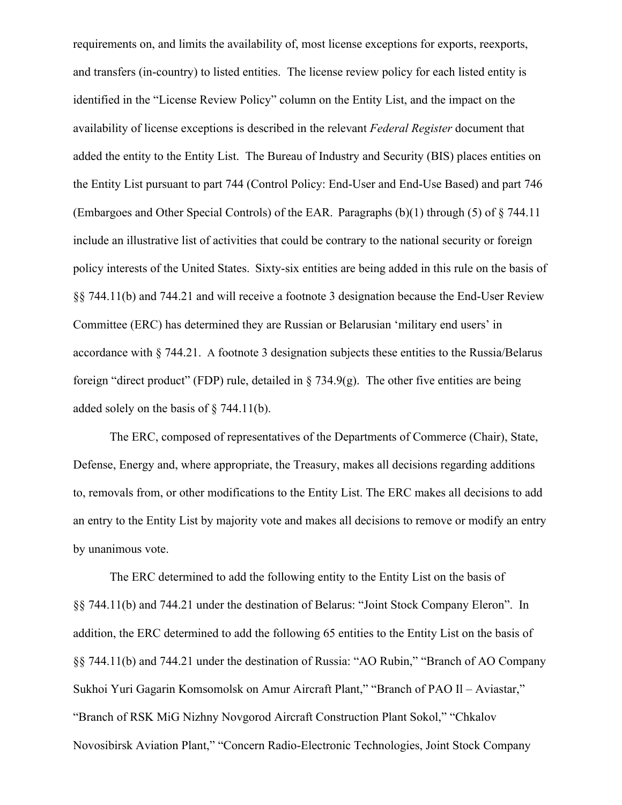requirements on, and limits the availability of, most license exceptions for exports, reexports, and transfers (in-country) to listed entities. The license review policy for each listed entity is identified in the "License Review Policy" column on the Entity List, and the impact on the availability of license exceptions is described in the relevant *Federal Register* document that added the entity to the Entity List. The Bureau of Industry and Security (BIS) places entities on the Entity List pursuant to part 744 (Control Policy: End-User and End-Use Based) and part 746 (Embargoes and Other Special Controls) of the EAR. Paragraphs (b)(1) through (5) of § 744.11 include an illustrative list of activities that could be contrary to the national security or foreign policy interests of the United States. Sixty-six entities are being added in this rule on the basis of §§ 744.11(b) and 744.21 and will receive a footnote 3 designation because the End-User Review Committee (ERC) has determined they are Russian or Belarusian 'military end users' in accordance with § 744.21. A footnote 3 designation subjects these entities to the Russia/Belarus foreign "direct product" (FDP) rule, detailed in  $\S$  734.9(g). The other five entities are being added solely on the basis of § 744.11(b).

The ERC, composed of representatives of the Departments of Commerce (Chair), State, Defense, Energy and, where appropriate, the Treasury, makes all decisions regarding additions to, removals from, or other modifications to the Entity List. The ERC makes all decisions to add an entry to the Entity List by majority vote and makes all decisions to remove or modify an entry by unanimous vote.

The ERC determined to add the following entity to the Entity List on the basis of §§ 744.11(b) and 744.21 under the destination of Belarus: "Joint Stock Company Eleron". In addition, the ERC determined to add the following 65 entities to the Entity List on the basis of §§ 744.11(b) and 744.21 under the destination of Russia: "AO Rubin," "Branch of AO Company Sukhoi Yuri Gagarin Komsomolsk on Amur Aircraft Plant," "Branch of PAO Il – Aviastar," "Branch of RSK MiG Nizhny Novgorod Aircraft Construction Plant Sokol," "Chkalov Novosibirsk Aviation Plant," "Concern Radio-Electronic Technologies, Joint Stock Company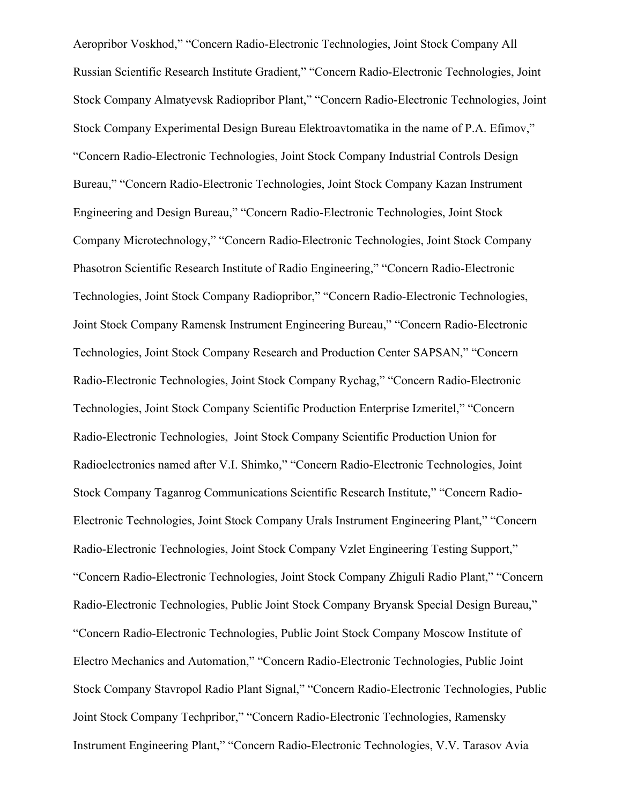Aeropribor Voskhod," "Concern Radio-Electronic Technologies, Joint Stock Company All Russian Scientific Research Institute Gradient," "Concern Radio-Electronic Technologies, Joint Stock Company Almatyevsk Radiopribor Plant," "Concern Radio-Electronic Technologies, Joint Stock Company Experimental Design Bureau Elektroavtomatika in the name of P.A. Efimov," "Concern Radio-Electronic Technologies, Joint Stock Company Industrial Controls Design Bureau," "Concern Radio-Electronic Technologies, Joint Stock Company Kazan Instrument Engineering and Design Bureau," "Concern Radio-Electronic Technologies, Joint Stock Company Microtechnology," "Concern Radio-Electronic Technologies, Joint Stock Company Phasotron Scientific Research Institute of Radio Engineering," "Concern Radio-Electronic Technologies, Joint Stock Company Radiopribor," "Concern Radio-Electronic Technologies, Joint Stock Company Ramensk Instrument Engineering Bureau," "Concern Radio-Electronic Technologies, Joint Stock Company Research and Production Center SAPSAN," "Concern Radio-Electronic Technologies, Joint Stock Company Rychag," "Concern Radio-Electronic Technologies, Joint Stock Company Scientific Production Enterprise Izmeritel," "Concern Radio-Electronic Technologies, Joint Stock Company Scientific Production Union for Radioelectronics named after V.I. Shimko," "Concern Radio-Electronic Technologies, Joint Stock Company Taganrog Communications Scientific Research Institute," "Concern Radio-Electronic Technologies, Joint Stock Company Urals Instrument Engineering Plant," "Concern Radio-Electronic Technologies, Joint Stock Company Vzlet Engineering Testing Support," "Concern Radio-Electronic Technologies, Joint Stock Company Zhiguli Radio Plant," "Concern Radio-Electronic Technologies, Public Joint Stock Company Bryansk Special Design Bureau," "Concern Radio-Electronic Technologies, Public Joint Stock Company Moscow Institute of Electro Mechanics and Automation," "Concern Radio-Electronic Technologies, Public Joint Stock Company Stavropol Radio Plant Signal," "Concern Radio-Electronic Technologies, Public Joint Stock Company Techpribor," "Concern Radio-Electronic Technologies, Ramensky Instrument Engineering Plant," "Concern Radio-Electronic Technologies, V.V. Tarasov Avia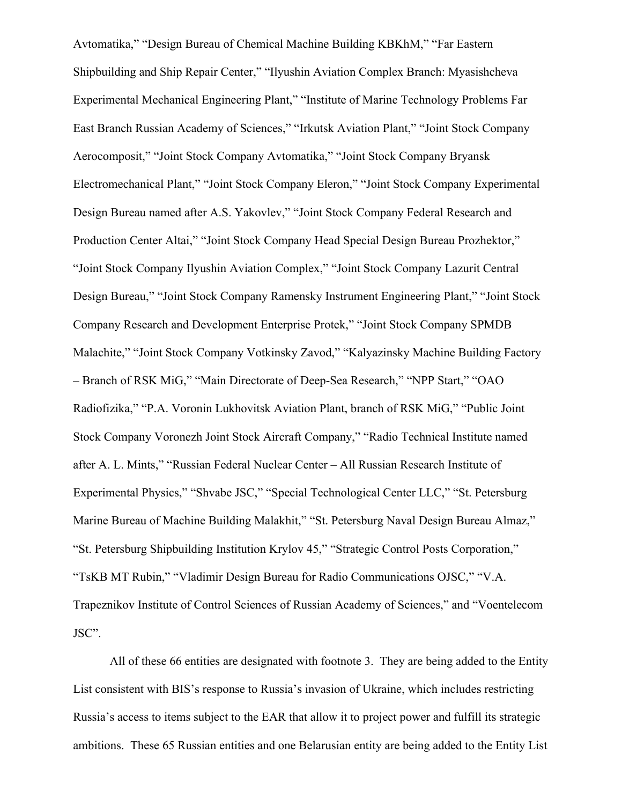Avtomatika," "Design Bureau of Chemical Machine Building KBKhM," "Far Eastern Shipbuilding and Ship Repair Center," "Ilyushin Aviation Complex Branch: Myasishcheva Experimental Mechanical Engineering Plant," "Institute of Marine Technology Problems Far East Branch Russian Academy of Sciences," "Irkutsk Aviation Plant," "Joint Stock Company Aerocomposit," "Joint Stock Company Avtomatika," "Joint Stock Company Bryansk Electromechanical Plant," "Joint Stock Company Eleron," "Joint Stock Company Experimental Design Bureau named after A.S. Yakovlev," "Joint Stock Company Federal Research and Production Center Altai," "Joint Stock Company Head Special Design Bureau Prozhektor," "Joint Stock Company Ilyushin Aviation Complex," "Joint Stock Company Lazurit Central Design Bureau," "Joint Stock Company Ramensky Instrument Engineering Plant," "Joint Stock Company Research and Development Enterprise Protek," "Joint Stock Company SPMDB Malachite," "Joint Stock Company Votkinsky Zavod," "Kalyazinsky Machine Building Factory – Branch of RSK MiG," "Main Directorate of Deep-Sea Research," "NPP Start," "OAO Radiofizika," "P.A. Voronin Lukhovitsk Aviation Plant, branch of RSK MiG," "Public Joint Stock Company Voronezh Joint Stock Aircraft Company," "Radio Technical Institute named after A. L. Mints," "Russian Federal Nuclear Center – All Russian Research Institute of Experimental Physics," "Shvabe JSC," "Special Technological Center LLC," "St. Petersburg Marine Bureau of Machine Building Malakhit," "St. Petersburg Naval Design Bureau Almaz," "St. Petersburg Shipbuilding Institution Krylov 45," "Strategic Control Posts Corporation," "TsKB MT Rubin," "Vladimir Design Bureau for Radio Communications OJSC," "V.A. Trapeznikov Institute of Control Sciences of Russian Academy of Sciences," and "Voentelecom JSC".

All of these 66 entities are designated with footnote 3. They are being added to the Entity List consistent with BIS's response to Russia's invasion of Ukraine, which includes restricting Russia's access to items subject to the EAR that allow it to project power and fulfill its strategic ambitions. These 65 Russian entities and one Belarusian entity are being added to the Entity List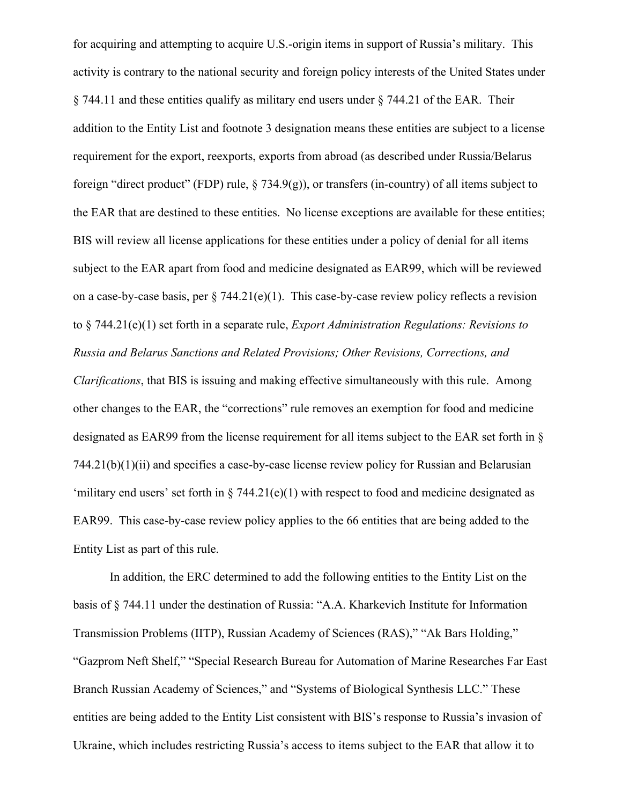for acquiring and attempting to acquire U.S.-origin items in support of Russia's military. This activity is contrary to the national security and foreign policy interests of the United States under § 744.11 and these entities qualify as military end users under § 744.21 of the EAR. Their addition to the Entity List and footnote 3 designation means these entities are subject to a license requirement for the export, reexports, exports from abroad (as described under Russia/Belarus foreign "direct product" (FDP) rule, § 734.9(g)), or transfers (in-country) of all items subject to the EAR that are destined to these entities. No license exceptions are available for these entities; BIS will review all license applications for these entities under a policy of denial for all items subject to the EAR apart from food and medicine designated as EAR99, which will be reviewed on a case-by-case basis, per § 744.21(e)(1). This case-by-case review policy reflects a revision to § 744.21(e)(1) set forth in a separate rule, *Export Administration Regulations: Revisions to Russia and Belarus Sanctions and Related Provisions; Other Revisions, Corrections, and* 

*Clarifications*, that BIS is issuing and making effective simultaneously with this rule. Among other changes to the EAR, the "corrections" rule removes an exemption for food and medicine designated as EAR99 from the license requirement for all items subject to the EAR set forth in §  $744.21(b)(1)(ii)$  and specifies a case-by-case license review policy for Russian and Belarusian 'military end users' set forth in  $\S$  744.21(e)(1) with respect to food and medicine designated as EAR99. This case-by-case review policy applies to the 66 entities that are being added to the Entity List as part of this rule.

In addition, the ERC determined to add the following entities to the Entity List on the basis of § 744.11 under the destination of Russia: "A.A. Kharkevich Institute for Information Transmission Problems (IITP), Russian Academy of Sciences (RAS)," "Ak Bars Holding," "Gazprom Neft Shelf," "Special Research Bureau for Automation of Marine Researches Far East Branch Russian Academy of Sciences," and "Systems of Biological Synthesis LLC." These entities are being added to the Entity List consistent with BIS's response to Russia's invasion of Ukraine, which includes restricting Russia's access to items subject to the EAR that allow it to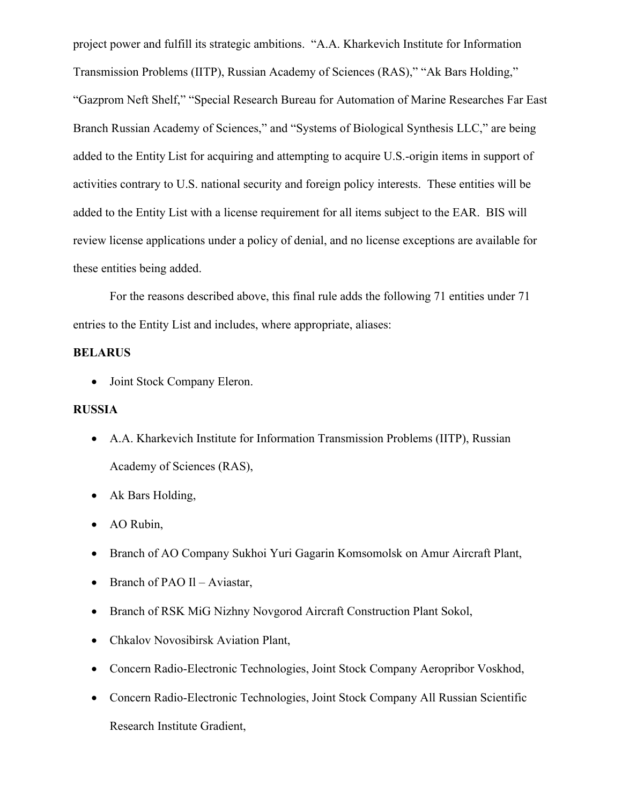project power and fulfill its strategic ambitions. "A.A. Kharkevich Institute for Information Transmission Problems (IITP), Russian Academy of Sciences (RAS)," "Ak Bars Holding," "Gazprom Neft Shelf," "Special Research Bureau for Automation of Marine Researches Far East Branch Russian Academy of Sciences," and "Systems of Biological Synthesis LLC," are being added to the Entity List for acquiring and attempting to acquire U.S.-origin items in support of activities contrary to U.S. national security and foreign policy interests. These entities will be added to the Entity List with a license requirement for all items subject to the EAR. BIS will review license applications under a policy of denial, and no license exceptions are available for these entities being added.

For the reasons described above, this final rule adds the following 71 entities under 71 entries to the Entity List and includes, where appropriate, aliases:

# **BELARUS**

Joint Stock Company Eleron.

# **RUSSIA**

- A.A. Kharkevich Institute for Information Transmission Problems (IITP), Russian Academy of Sciences (RAS),
- Ak Bars Holding,
- AO Rubin,
- Branch of AO Company Sukhoi Yuri Gagarin Komsomolsk on Amur Aircraft Plant,
- Branch of PAO II Aviastar,
- Branch of RSK MiG Nizhny Novgorod Aircraft Construction Plant Sokol,
- Chkalov Novosibirsk Aviation Plant,
- Concern Radio-Electronic Technologies, Joint Stock Company Aeropribor Voskhod,
- Concern Radio-Electronic Technologies, Joint Stock Company All Russian Scientific Research Institute Gradient,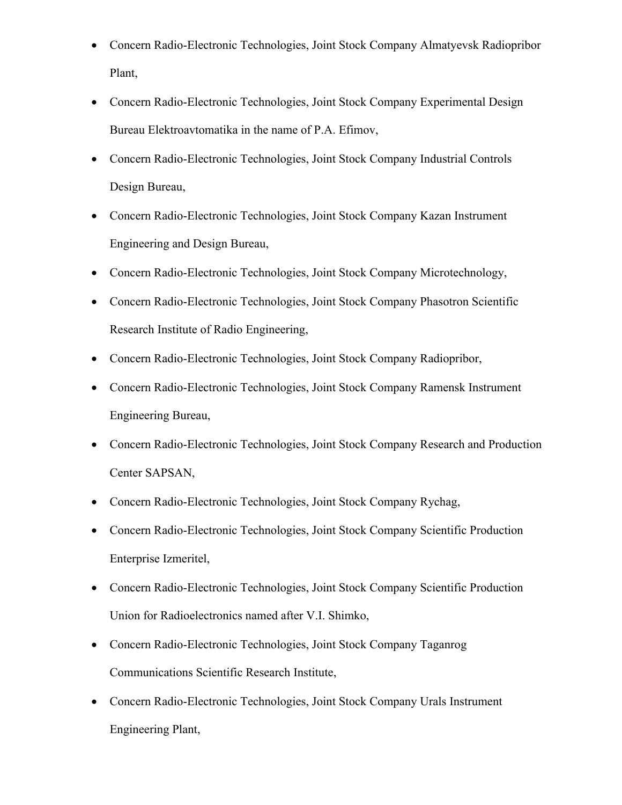- Concern Radio-Electronic Technologies, Joint Stock Company Almatyevsk Radiopribor Plant,
- Concern Radio-Electronic Technologies, Joint Stock Company Experimental Design Bureau Elektroavtomatika in the name of P.A. Efimov,
- Concern Radio-Electronic Technologies, Joint Stock Company Industrial Controls Design Bureau,
- Concern Radio-Electronic Technologies, Joint Stock Company Kazan Instrument Engineering and Design Bureau,
- Concern Radio-Electronic Technologies, Joint Stock Company Microtechnology,
- Concern Radio-Electronic Technologies, Joint Stock Company Phasotron Scientific Research Institute of Radio Engineering,
- Concern Radio-Electronic Technologies, Joint Stock Company Radiopribor,
- Concern Radio-Electronic Technologies, Joint Stock Company Ramensk Instrument Engineering Bureau,
- Concern Radio-Electronic Technologies, Joint Stock Company Research and Production Center SAPSAN,
- Concern Radio-Electronic Technologies, Joint Stock Company Rychag,
- Concern Radio-Electronic Technologies, Joint Stock Company Scientific Production Enterprise Izmeritel,
- Concern Radio-Electronic Technologies, Joint Stock Company Scientific Production Union for Radioelectronics named after V.I. Shimko,
- Concern Radio-Electronic Technologies, Joint Stock Company Taganrog Communications Scientific Research Institute,
- Concern Radio-Electronic Technologies, Joint Stock Company Urals Instrument Engineering Plant,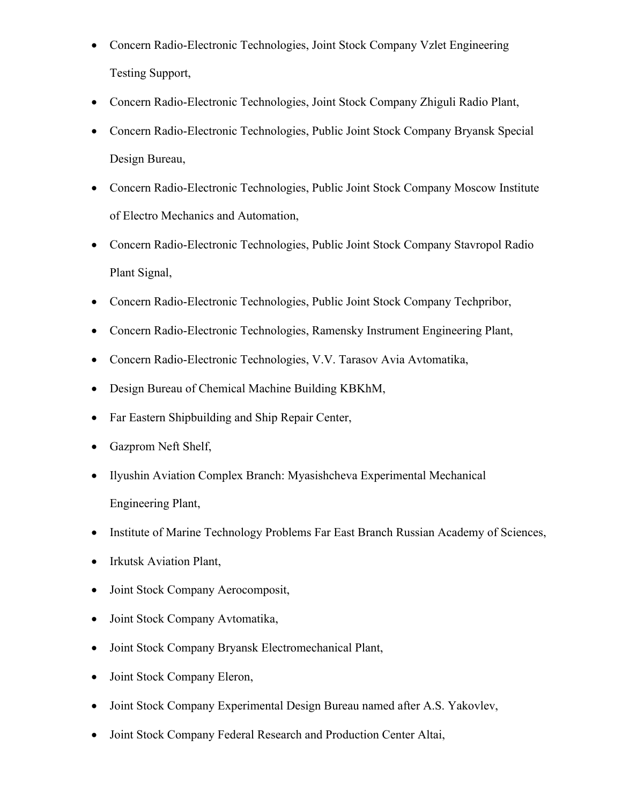- Concern Radio-Electronic Technologies, Joint Stock Company Vzlet Engineering Testing Support,
- Concern Radio-Electronic Technologies, Joint Stock Company Zhiguli Radio Plant,
- Concern Radio-Electronic Technologies, Public Joint Stock Company Bryansk Special Design Bureau,
- Concern Radio-Electronic Technologies, Public Joint Stock Company Moscow Institute of Electro Mechanics and Automation,
- Concern Radio-Electronic Technologies, Public Joint Stock Company Stavropol Radio Plant Signal,
- Concern Radio-Electronic Technologies, Public Joint Stock Company Techpribor,
- Concern Radio-Electronic Technologies, Ramensky Instrument Engineering Plant,
- Concern Radio-Electronic Technologies, V.V. Tarasov Avia Avtomatika,
- Design Bureau of Chemical Machine Building KBKhM,
- Far Eastern Shipbuilding and Ship Repair Center,
- Gazprom Neft Shelf,
- Ilyushin Aviation Complex Branch: Myasishcheva Experimental Mechanical Engineering Plant,
- Institute of Marine Technology Problems Far East Branch Russian Academy of Sciences,
- Irkutsk Aviation Plant,
- Joint Stock Company Aerocomposit,
- Joint Stock Company Avtomatika,
- Joint Stock Company Bryansk Electromechanical Plant,
- Joint Stock Company Eleron,
- Joint Stock Company Experimental Design Bureau named after A.S. Yakovlev,
- Joint Stock Company Federal Research and Production Center Altai,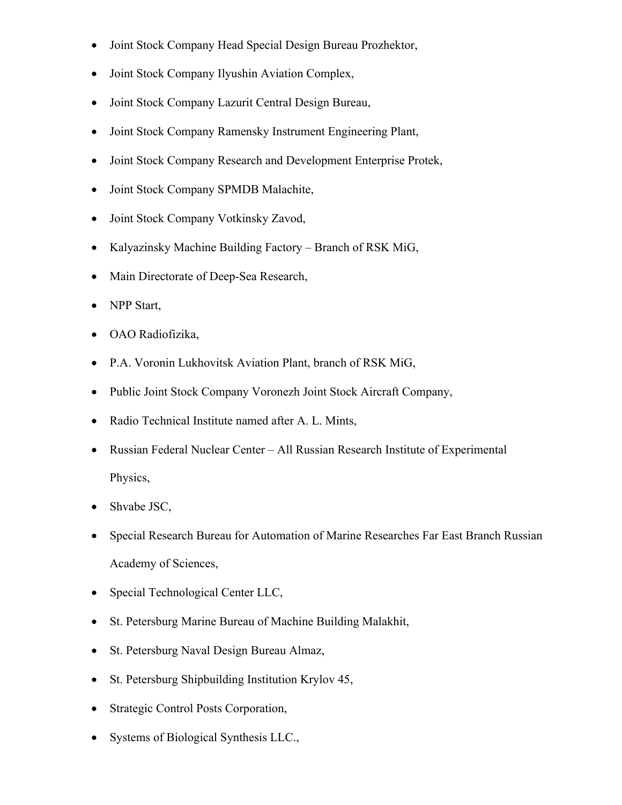- Joint Stock Company Head Special Design Bureau Prozhektor,
- Joint Stock Company Ilyushin Aviation Complex,
- Joint Stock Company Lazurit Central Design Bureau,
- Joint Stock Company Ramensky Instrument Engineering Plant,
- Joint Stock Company Research and Development Enterprise Protek,
- Joint Stock Company SPMDB Malachite,
- Joint Stock Company Votkinsky Zavod,
- Kalyazinsky Machine Building Factory Branch of RSK MiG,
- Main Directorate of Deep-Sea Research,
- NPP Start,
- OAO Radiofizika,
- P.A. Voronin Lukhovitsk Aviation Plant, branch of RSK MiG,
- Public Joint Stock Company Voronezh Joint Stock Aircraft Company,
- Radio Technical Institute named after A. L. Mints,
- Russian Federal Nuclear Center All Russian Research Institute of Experimental Physics,
- Shvabe JSC,
- Special Research Bureau for Automation of Marine Researches Far East Branch Russian Academy of Sciences,
- Special Technological Center LLC,
- St. Petersburg Marine Bureau of Machine Building Malakhit,
- St. Petersburg Naval Design Bureau Almaz,
- St. Petersburg Shipbuilding Institution Krylov 45,
- Strategic Control Posts Corporation,
- Systems of Biological Synthesis LLC.,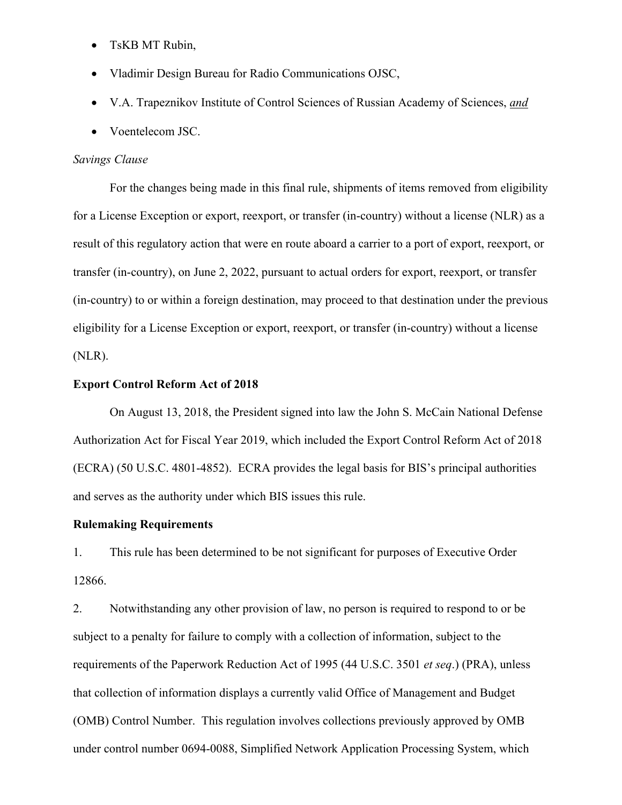- TsKB MT Rubin,
- Vladimir Design Bureau for Radio Communications OJSC,
- V.A. Trapeznikov Institute of Control Sciences of Russian Academy of Sciences, *and*
- Voentelecom JSC.

#### *Savings Clause*

For the changes being made in this final rule, shipments of items removed from eligibility for a License Exception or export, reexport, or transfer (in-country) without a license (NLR) as a result of this regulatory action that were en route aboard a carrier to a port of export, reexport, or transfer (in-country), on June 2, 2022, pursuant to actual orders for export, reexport, or transfer (in-country) to or within a foreign destination, may proceed to that destination under the previous eligibility for a License Exception or export, reexport, or transfer (in-country) without a license (NLR).

#### **Export Control Reform Act of 2018**

On August 13, 2018, the President signed into law the John S. McCain National Defense Authorization Act for Fiscal Year 2019, which included the Export Control Reform Act of 2018 (ECRA) (50 U.S.C. 4801-4852). ECRA provides the legal basis for BIS's principal authorities and serves as the authority under which BIS issues this rule.

#### **Rulemaking Requirements**

1. This rule has been determined to be not significant for purposes of Executive Order 12866.

2. Notwithstanding any other provision of law, no person is required to respond to or be subject to a penalty for failure to comply with a collection of information, subject to the requirements of the Paperwork Reduction Act of 1995 (44 U.S.C. 3501 *et seq*.) (PRA), unless that collection of information displays a currently valid Office of Management and Budget (OMB) Control Number. This regulation involves collections previously approved by OMB under control number 0694-0088, Simplified Network Application Processing System, which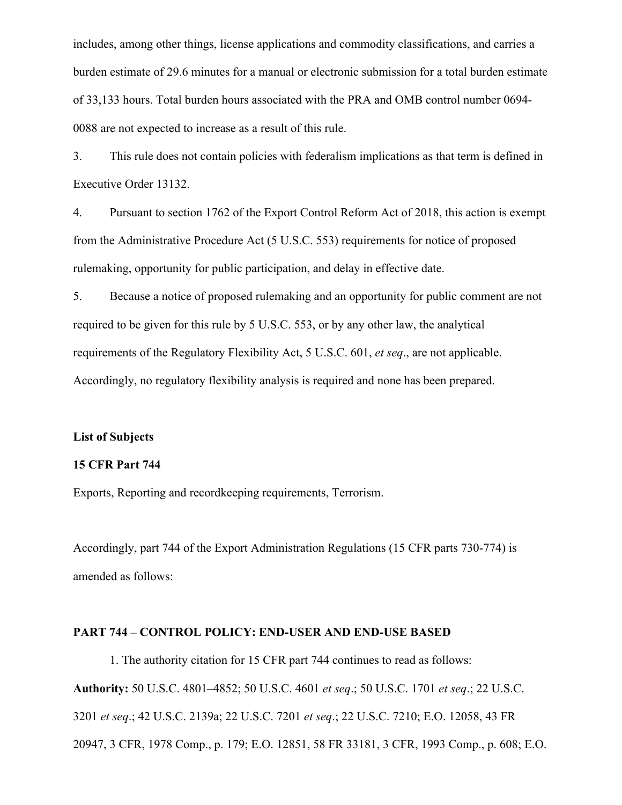includes, among other things, license applications and commodity classifications, and carries a burden estimate of 29.6 minutes for a manual or electronic submission for a total burden estimate of 33,133 hours. Total burden hours associated with the PRA and OMB control number 0694- 0088 are not expected to increase as a result of this rule.

3. This rule does not contain policies with federalism implications as that term is defined in Executive Order 13132.

4. Pursuant to section 1762 of the Export Control Reform Act of 2018, this action is exempt from the Administrative Procedure Act (5 U.S.C. 553) requirements for notice of proposed rulemaking, opportunity for public participation, and delay in effective date.

5. Because a notice of proposed rulemaking and an opportunity for public comment are not required to be given for this rule by 5 U.S.C. 553, or by any other law, the analytical requirements of the Regulatory Flexibility Act, 5 U.S.C. 601, *et seq*., are not applicable. Accordingly, no regulatory flexibility analysis is required and none has been prepared.

## **List of Subjects**

# **15 CFR Part 744**

Exports, Reporting and recordkeeping requirements, Terrorism.

Accordingly, part 744 of the Export Administration Regulations (15 CFR parts 730-774) is amended as follows:

# **PART 744 – CONTROL POLICY: END-USER AND END-USE BASED**

1. The authority citation for 15 CFR part 744 continues to read as follows: **Authority:** 50 U.S.C. 4801–4852; 50 U.S.C. 4601 *et seq*.; 50 U.S.C. 1701 *et seq*.; 22 U.S.C. 3201 *et seq*.; 42 U.S.C. 2139a; 22 U.S.C. 7201 *et seq*.; 22 U.S.C. 7210; E.O. 12058, 43 FR 20947, 3 CFR, 1978 Comp., p. 179; E.O. 12851, 58 FR 33181, 3 CFR, 1993 Comp., p. 608; E.O.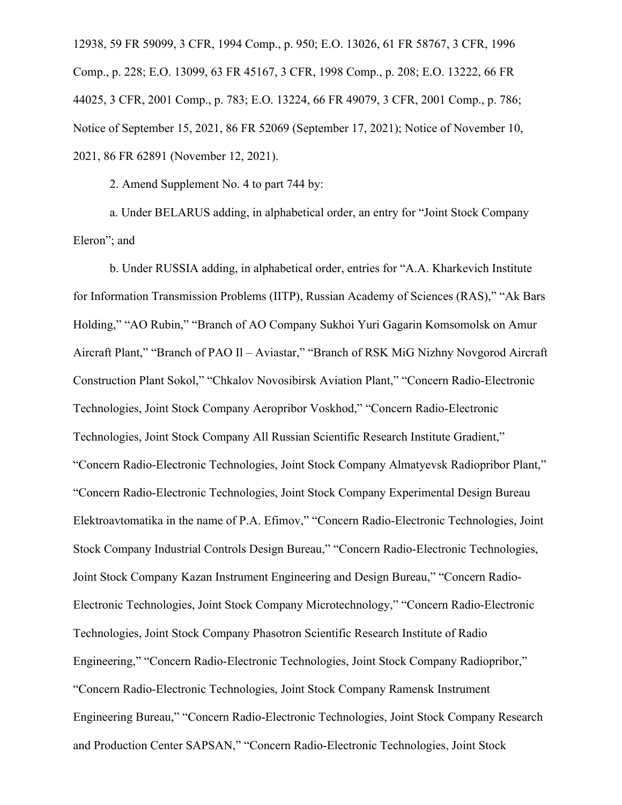12938, 59 FR 59099, 3 CFR, 1994 Comp., p. 950; E.O. 13026, 61 FR 58767, 3 CFR, 1996 Comp., p. 228; E.O. 13099, 63 FR 45167, 3 CFR, 1998 Comp., p. 208; E.O. 13222, 66 FR 44025, 3 CFR, 2001 Comp., p. 783; E.O. 13224, 66 FR 49079, 3 CFR, 2001 Comp., p. 786; Notice of September 15, 2021, 86 FR 52069 (September 17, 2021); Notice of November 10, 2021, 86 FR 62891 (November 12, 2021).

2. Amend Supplement No. 4 to part 744 by:

a. Under BELARUS adding, in alphabetical order, an entry for "Joint Stock Company Eleron"; and

b. Under RUSSIA adding, in alphabetical order, entries for "A.A. Kharkevich Institute for Information Transmission Problems (IITP), Russian Academy of Sciences (RAS)," "Ak Bars Holding," "AO Rubin," "Branch of AO Company Sukhoi Yuri Gagarin Komsomolsk on Amur Aircraft Plant," "Branch of PAO Il – Aviastar," "Branch of RSK MiG Nizhny Novgorod Aircraft Construction Plant Sokol," "Chkalov Novosibirsk Aviation Plant," "Concern Radio-Electronic Technologies, Joint Stock Company Aeropribor Voskhod," "Concern Radio-Electronic Technologies, Joint Stock Company All Russian Scientific Research Institute Gradient," "Concern Radio-Electronic Technologies, Joint Stock Company Almatyevsk Radiopribor Plant," "Concern Radio-Electronic Technologies, Joint Stock Company Experimental Design Bureau Elektroavtomatika in the name of P.A. Efimov," "Concern Radio-Electronic Technologies, Joint Stock Company Industrial Controls Design Bureau," "Concern Radio-Electronic Technologies, Joint Stock Company Kazan Instrument Engineering and Design Bureau," "Concern Radio-Electronic Technologies, Joint Stock Company Microtechnology," "Concern Radio-Electronic Technologies, Joint Stock Company Phasotron Scientific Research Institute of Radio Engineering," "Concern Radio-Electronic Technologies, Joint Stock Company Radiopribor," "Concern Radio-Electronic Technologies, Joint Stock Company Ramensk Instrument Engineering Bureau," "Concern Radio-Electronic Technologies, Joint Stock Company Research and Production Center SAPSAN," "Concern Radio-Electronic Technologies, Joint Stock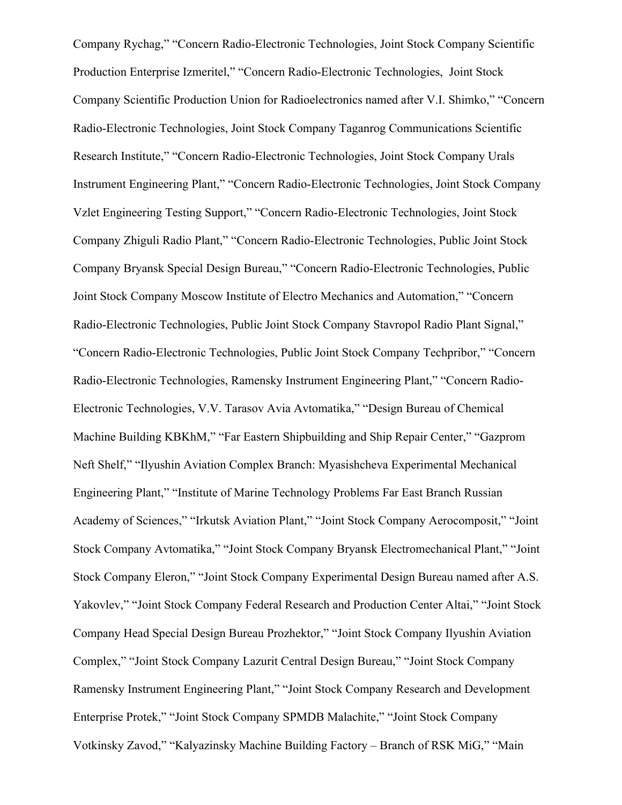Company Rychag," "Concern Radio-Electronic Technologies, Joint Stock Company Scientific Production Enterprise Izmeritel," "Concern Radio-Electronic Technologies, Joint Stock Company Scientific Production Union for Radioelectronics named after V.I. Shimko," "Concern Radio-Electronic Technologies, Joint Stock Company Taganrog Communications Scientific Research Institute," "Concern Radio-Electronic Technologies, Joint Stock Company Urals Instrument Engineering Plant," "Concern Radio-Electronic Technologies, Joint Stock Company Vzlet Engineering Testing Support," "Concern Radio-Electronic Technologies, Joint Stock Company Zhiguli Radio Plant," "Concern Radio-Electronic Technologies, Public Joint Stock Company Bryansk Special Design Bureau," "Concern Radio-Electronic Technologies, Public Joint Stock Company Moscow Institute of Electro Mechanics and Automation," "Concern Radio-Electronic Technologies, Public Joint Stock Company Stavropol Radio Plant Signal," "Concern Radio-Electronic Technologies, Public Joint Stock Company Techpribor," "Concern Radio-Electronic Technologies, Ramensky Instrument Engineering Plant," "Concern Radio-Electronic Technologies, V.V. Tarasov Avia Avtomatika," "Design Bureau of Chemical Machine Building KBKhM," "Far Eastern Shipbuilding and Ship Repair Center," "Gazprom Neft Shelf," "Ilyushin Aviation Complex Branch: Myasishcheva Experimental Mechanical Engineering Plant," "Institute of Marine Technology Problems Far East Branch Russian Academy of Sciences," "Irkutsk Aviation Plant," "Joint Stock Company Aerocomposit," "Joint Stock Company Avtomatika," "Joint Stock Company Bryansk Electromechanical Plant," "Joint Stock Company Eleron," "Joint Stock Company Experimental Design Bureau named after A.S. Yakovlev," "Joint Stock Company Federal Research and Production Center Altai," "Joint Stock Company Head Special Design Bureau Prozhektor," "Joint Stock Company Ilyushin Aviation Complex," "Joint Stock Company Lazurit Central Design Bureau," "Joint Stock Company Ramensky Instrument Engineering Plant," "Joint Stock Company Research and Development Enterprise Protek," "Joint Stock Company SPMDB Malachite," "Joint Stock Company Votkinsky Zavod," "Kalyazinsky Machine Building Factory – Branch of RSK MiG," "Main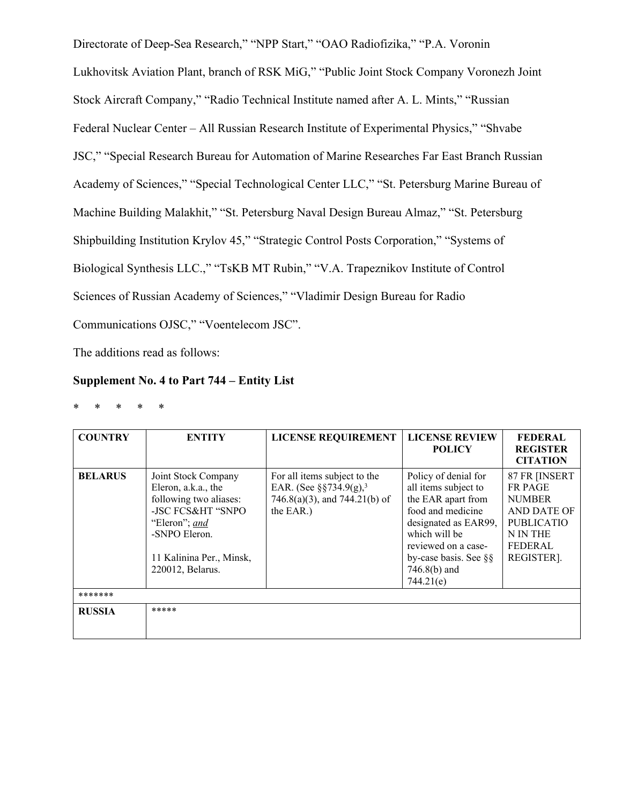Directorate of Deep-Sea Research," "NPP Start," "OAO Radiofizika," "P.A. Voronin Lukhovitsk Aviation Plant, branch of RSK MiG," "Public Joint Stock Company Voronezh Joint Stock Aircraft Company," "Radio Technical Institute named after A. L. Mints," "Russian Federal Nuclear Center – All Russian Research Institute of Experimental Physics," "Shvabe JSC," "Special Research Bureau for Automation of Marine Researches Far East Branch Russian Academy of Sciences," "Special Technological Center LLC," "St. Petersburg Marine Bureau of Machine Building Malakhit," "St. Petersburg Naval Design Bureau Almaz," "St. Petersburg Shipbuilding Institution Krylov 45," "Strategic Control Posts Corporation," "Systems of Biological Synthesis LLC.," "TsKB MT Rubin," "V.A. Trapeznikov Institute of Control Sciences of Russian Academy of Sciences," "Vladimir Design Bureau for Radio Communications OJSC," "Voentelecom JSC".

The additions read as follows:

# **Supplement No. 4 to Part 744 – Entity List**

| $\ast$ | $*$ * | $*$ | $\ast$ |
|--------|-------|-----|--------|
|        |       |     |        |

| <b>COUNTRY</b>            | <b>ENTITY</b>                                                                                                                                                               | <b>LICENSE REQUIREMENT</b>                                                                                       | <b>LICENSE REVIEW</b><br><b>POLICY</b>                                                                                                                                                                              | <b>FEDERAL</b><br><b>REGISTER</b><br><b>CITATION</b>                                                                             |
|---------------------------|-----------------------------------------------------------------------------------------------------------------------------------------------------------------------------|------------------------------------------------------------------------------------------------------------------|---------------------------------------------------------------------------------------------------------------------------------------------------------------------------------------------------------------------|----------------------------------------------------------------------------------------------------------------------------------|
| <b>BELARUS</b><br>******* | Joint Stock Company<br>Eleron, a.k.a., the<br>following two aliases:<br>-JSC FCS&HT "SNPO<br>"Eleron"; and<br>-SNPO Eleron.<br>11 Kalinina Per., Minsk,<br>220012, Belarus. | For all items subject to the<br>EAR. (See §§734.9(g), <sup>3</sup><br>746.8(a)(3), and 744.21(b) of<br>the EAR.) | Policy of denial for<br>all items subject to<br>the EAR apart from<br>food and medicine<br>designated as EAR99,<br>which will be<br>reviewed on a case-<br>by-case basis. See $\S$ §<br>$746.8(b)$ and<br>744.21(e) | 87 FR [INSERT<br><b>FR PAGE</b><br><b>NUMBER</b><br>AND DATE OF<br><b>PUBLICATIO</b><br>N IN THE<br><b>FEDERAL</b><br>REGISTER]. |
| <b>RUSSIA</b>             | *****                                                                                                                                                                       |                                                                                                                  |                                                                                                                                                                                                                     |                                                                                                                                  |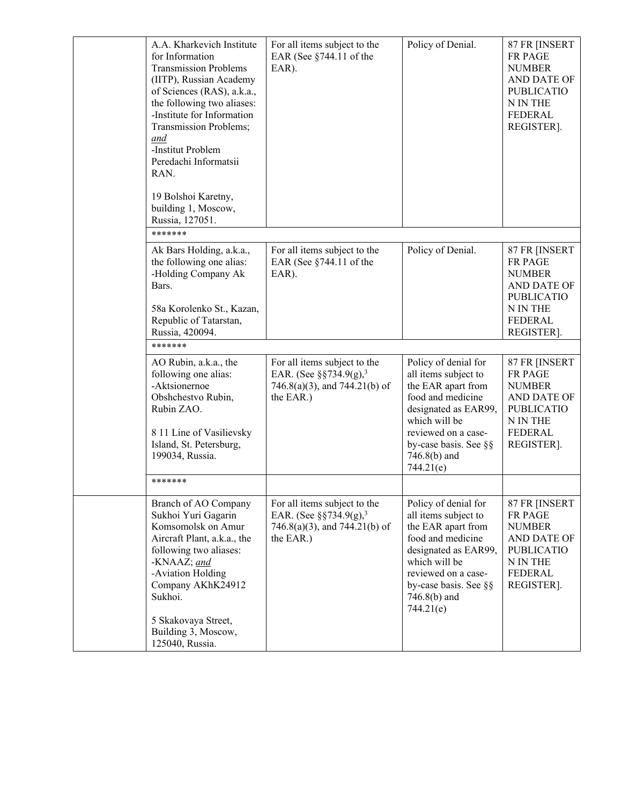| A.A. Kharkevich Institute<br>for Information<br><b>Transmission Problems</b><br>(IITP), Russian Academy<br>of Sciences (RAS), a.k.a.,<br>the following two aliases:<br>-Institute for Information<br>Transmission Problems;<br>and<br>-Institut Problem<br>Peredachi Informatsii<br>RAN.<br>19 Bolshoi Karetny,<br>building 1, Moscow, | For all items subject to the<br>EAR (See §744.11 of the<br>EAR).                                                 | Policy of Denial.                                                                                                                                                                                             | 87 FR [INSERT<br><b>FR PAGE</b><br><b>NUMBER</b><br>AND DATE OF<br><b>PUBLICATIO</b><br>${\rm N}$ IN THE<br><b>FEDERAL</b><br>REGISTER]. |
|----------------------------------------------------------------------------------------------------------------------------------------------------------------------------------------------------------------------------------------------------------------------------------------------------------------------------------------|------------------------------------------------------------------------------------------------------------------|---------------------------------------------------------------------------------------------------------------------------------------------------------------------------------------------------------------|------------------------------------------------------------------------------------------------------------------------------------------|
| Russia, 127051.<br>*******                                                                                                                                                                                                                                                                                                             |                                                                                                                  |                                                                                                                                                                                                               |                                                                                                                                          |
| Ak Bars Holding, a.k.a.,<br>the following one alias:<br>-Holding Company Ak<br>Bars.<br>58a Korolenko St., Kazan,<br>Republic of Tatarstan,<br>Russia, 420094.                                                                                                                                                                         | For all items subject to the<br>EAR (See §744.11 of the<br>EAR).                                                 | Policy of Denial.                                                                                                                                                                                             | 87 FR [INSERT<br>FR PAGE<br><b>NUMBER</b><br>AND DATE OF<br><b>PUBLICATIO</b><br>N IN THE<br>FEDERAL<br>REGISTER].                       |
| *******                                                                                                                                                                                                                                                                                                                                |                                                                                                                  |                                                                                                                                                                                                               |                                                                                                                                          |
| AO Rubin, a.k.a., the<br>following one alias:<br>-Aktsionernoe<br>Obshchestvo Rubin,<br>Rubin ZAO.<br>8 11 Line of Vasilievsky<br>Island, St. Petersburg,<br>199034, Russia.                                                                                                                                                           | For all items subject to the<br>EAR. (See §§734.9(g), <sup>3</sup><br>746.8(a)(3), and 744.21(b) of<br>the EAR.) | Policy of denial for<br>all items subject to<br>the EAR apart from<br>food and medicine<br>designated as EAR99,<br>which will be<br>reviewed on a case-<br>by-case basis. See §§<br>746.8(b) and<br>744.21(e) | 87 FR [INSERT<br>FR PAGE<br><b>NUMBER</b><br>AND DATE OF<br><b>PUBLICATIO</b><br>N IN THE<br><b>FEDERAL</b><br>REGISTER].                |
| *******                                                                                                                                                                                                                                                                                                                                |                                                                                                                  |                                                                                                                                                                                                               |                                                                                                                                          |
| Branch of AO Company<br>Sukhoi Yuri Gagarin<br>Komsomolsk on Amur<br>Aircraft Plant, a.k.a., the<br>following two aliases:<br>-KNAAZ; and<br>-Aviation Holding<br>Company AKhK24912<br>Sukhoi.<br>5 Skakovaya Street,<br>Building 3, Moscow,<br>125040, Russia.                                                                        | For all items subject to the<br>EAR. (See §§734.9(g), <sup>3</sup><br>746.8(a)(3), and 744.21(b) of<br>the EAR.) | Policy of denial for<br>all items subject to<br>the EAR apart from<br>food and medicine<br>designated as EAR99,<br>which will be<br>reviewed on a case-<br>by-case basis. See §§<br>746.8(b) and<br>744.21(e) | 87 FR [INSERT<br>FR PAGE<br><b>NUMBER</b><br>AND DATE OF<br><b>PUBLICATIO</b><br>N IN THE<br><b>FEDERAL</b><br>REGISTER].                |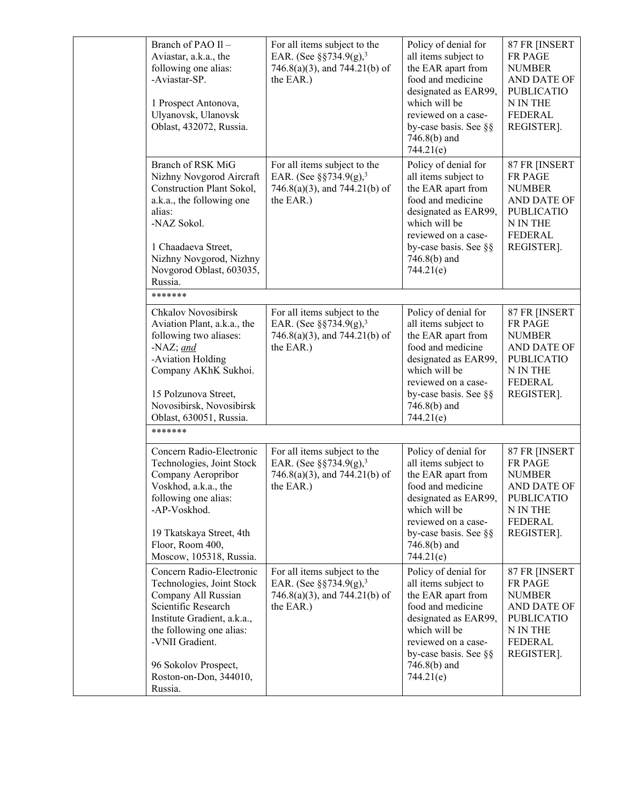| Branch of PAO II-<br>Aviastar, a.k.a., the<br>following one alias:<br>-Aviastar-SP.<br>1 Prospect Antonova,<br>Ulyanovsk, Ulanovsk<br>Oblast, 432072, Russia.                                                                                  | For all items subject to the<br>EAR. (See §§734.9(g), <sup>3</sup><br>$746.8(a)(3)$ , and $744.21(b)$ of<br>the EAR.)     | Policy of denial for<br>all items subject to<br>the EAR apart from<br>food and medicine<br>designated as EAR99,<br>which will be<br>reviewed on a case-<br>by-case basis. See §§<br>$746.8(b)$ and<br>744.21(e) | 87 FR [INSERT<br>FR PAGE<br><b>NUMBER</b><br>AND DATE OF<br><b>PUBLICATIO</b><br>N IN THE<br><b>FEDERAL</b><br>REGISTER]. |
|------------------------------------------------------------------------------------------------------------------------------------------------------------------------------------------------------------------------------------------------|---------------------------------------------------------------------------------------------------------------------------|-----------------------------------------------------------------------------------------------------------------------------------------------------------------------------------------------------------------|---------------------------------------------------------------------------------------------------------------------------|
| Branch of RSK MiG<br>Nizhny Novgorod Aircraft<br>Construction Plant Sokol,<br>a.k.a., the following one<br>alias:<br>-NAZ Sokol.<br>1 Chaadaeva Street,<br>Nizhny Novgorod, Nizhny<br>Novgorod Oblast, 603035,<br>Russia.                      | For all items subject to the<br>EAR. (See $\S$ §734.9(g), <sup>3</sup><br>746.8(a)(3), and 744.21(b) of<br>the EAR.)      | Policy of denial for<br>all items subject to<br>the EAR apart from<br>food and medicine<br>designated as EAR99,<br>which will be<br>reviewed on a case-<br>by-case basis. See §§<br>746.8(b) and<br>744.21(e)   | 87 FR [INSERT<br>FR PAGE<br><b>NUMBER</b><br>AND DATE OF<br><b>PUBLICATIO</b><br>N IN THE<br><b>FEDERAL</b><br>REGISTER]. |
| *******                                                                                                                                                                                                                                        |                                                                                                                           |                                                                                                                                                                                                                 |                                                                                                                           |
| <b>Chkalov Novosibirsk</b><br>Aviation Plant, a.k.a., the<br>following two aliases:<br>-NAZ; and<br>-Aviation Holding<br>Company AKhK Sukhoi.<br>15 Polzunova Street,<br>Novosibirsk, Novosibirsk<br>Oblast, 630051, Russia.                   | For all items subject to the<br>EAR. (See $\S$ §734.9(g), <sup>3</sup><br>746.8(a)(3), and 744.21(b) of<br>the EAR.)      | Policy of denial for<br>all items subject to<br>the EAR apart from<br>food and medicine<br>designated as EAR99,<br>which will be<br>reviewed on a case-<br>by-case basis. See §§<br>$746.8(b)$ and<br>744.21(e) | 87 FR [INSERT<br>FR PAGE<br><b>NUMBER</b><br>AND DATE OF<br><b>PUBLICATIO</b><br>N IN THE<br><b>FEDERAL</b><br>REGISTER]. |
| *******                                                                                                                                                                                                                                        |                                                                                                                           |                                                                                                                                                                                                                 |                                                                                                                           |
| Concern Radio-Electronic<br>Technologies, Joint Stock<br>Company Aeropribor<br>Voskhod, a.k.a., the<br>following one alias:<br>-AP-Voskhod.<br>19 Tkatskaya Street, 4th<br>Floor, Room 400,<br>Moscow, 105318, Russia.                         | For all items subject to the<br>EAR. (See $\S$ §734.9(g), <sup>3</sup><br>746.8(a)(3), and 744.21(b) of<br>the EAR.)      | Policy of denial for<br>all items subject to<br>the EAR apart from<br>food and medicine<br>designated as EAR99,<br>which will be<br>reviewed on a case-<br>by-case basis. See §§<br>$746.8(b)$ and<br>744.21(e) | 87 FR [INSERT<br>FR PAGE<br><b>NUMBER</b><br>AND DATE OF<br><b>PUBLICATIO</b><br>N IN THE<br>FEDERAL<br>REGISTER].        |
| Concern Radio-Electronic<br>Technologies, Joint Stock<br>Company All Russian<br>Scientific Research<br>Institute Gradient, a.k.a.,<br>the following one alias:<br>-VNII Gradient.<br>96 Sokolov Prospect,<br>Roston-on-Don, 344010,<br>Russia. | For all items subject to the<br>EAR. (See $\S$ §734.9(g), <sup>3</sup><br>$746.8(a)(3)$ , and $744.21(b)$ of<br>the EAR.) | Policy of denial for<br>all items subject to<br>the EAR apart from<br>food and medicine<br>designated as EAR99,<br>which will be<br>reviewed on a case-<br>by-case basis. See §§<br>$746.8(b)$ and<br>744.21(e) | 87 FR [INSERT<br>FR PAGE<br><b>NUMBER</b><br>AND DATE OF<br><b>PUBLICATIO</b><br>N IN THE<br><b>FEDERAL</b><br>REGISTER]. |
|                                                                                                                                                                                                                                                |                                                                                                                           |                                                                                                                                                                                                                 |                                                                                                                           |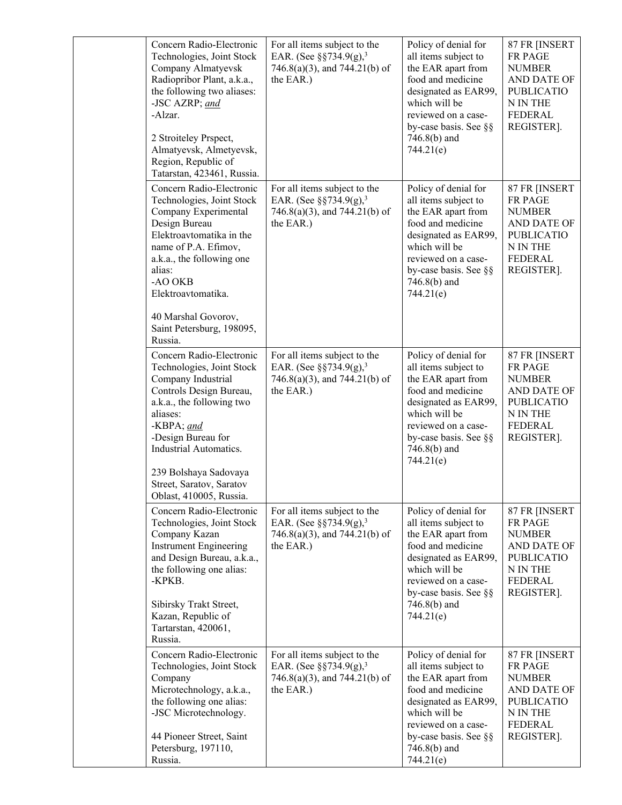| Concern Radio-Electronic<br>Technologies, Joint Stock<br>Company Almatyevsk<br>Radiopribor Plant, a.k.a.,<br>the following two aliases:<br>-JSC AZRP; and<br>-Alzar.<br>2 Stroiteley Prspect,<br>Almatyevsk, Almetyevsk,<br>Region, Republic of<br>Tatarstan, 423461, Russia.                 | For all items subject to the<br>EAR. (See §§734.9(g), <sup>3</sup><br>746.8(a)(3), and 744.21(b) of<br>the EAR.)     | Policy of denial for<br>all items subject to<br>the EAR apart from<br>food and medicine<br>designated as EAR99,<br>which will be<br>reviewed on a case-<br>by-case basis. See §§<br>$746.8(b)$ and<br>744.21(e) | 87 FR [INSERT<br>FR PAGE<br><b>NUMBER</b><br>AND DATE OF<br><b>PUBLICATIO</b><br>N IN THE<br><b>FEDERAL</b><br>REGISTER]. |
|-----------------------------------------------------------------------------------------------------------------------------------------------------------------------------------------------------------------------------------------------------------------------------------------------|----------------------------------------------------------------------------------------------------------------------|-----------------------------------------------------------------------------------------------------------------------------------------------------------------------------------------------------------------|---------------------------------------------------------------------------------------------------------------------------|
| Concern Radio-Electronic<br>Technologies, Joint Stock<br>Company Experimental<br>Design Bureau<br>Elektroavtomatika in the<br>name of P.A. Efimov,<br>a.k.a., the following one<br>alias:<br>-AO OKB<br>Elektroavtomatika.<br>40 Marshal Govorov,<br>Saint Petersburg, 198095,<br>Russia.     | For all items subject to the<br>EAR. (See $\S$ §734.9(g), <sup>3</sup><br>746.8(a)(3), and 744.21(b) of<br>the EAR.) | Policy of denial for<br>all items subject to<br>the EAR apart from<br>food and medicine<br>designated as EAR99,<br>which will be<br>reviewed on a case-<br>by-case basis. See §§<br>$746.8(b)$ and<br>744.21(e) | 87 FR [INSERT<br>FR PAGE<br><b>NUMBER</b><br>AND DATE OF<br><b>PUBLICATIO</b><br>N IN THE<br><b>FEDERAL</b><br>REGISTER]. |
| Concern Radio-Electronic<br>Technologies, Joint Stock<br>Company Industrial<br>Controls Design Bureau,<br>a.k.a., the following two<br>aliases:<br>-KBPA; and<br>-Design Bureau for<br>Industrial Automatics.<br>239 Bolshaya Sadovaya<br>Street, Saratov, Saratov<br>Oblast, 410005, Russia. | For all items subject to the<br>EAR. (See $\S$ §734.9(g), <sup>3</sup><br>746.8(a)(3), and 744.21(b) of<br>the EAR.) | Policy of denial for<br>all items subject to<br>the EAR apart from<br>food and medicine<br>designated as EAR99,<br>which will be<br>reviewed on a case-<br>by-case basis. See §§<br>$746.8(b)$ and<br>744.21(e) | 87 FR [INSERT<br>FR PAGE<br><b>NUMBER</b><br>AND DATE OF<br><b>PUBLICATIO</b><br>N IN THE<br><b>FEDERAL</b><br>REGISTER]. |
| Concern Radio-Electronic<br>Technologies, Joint Stock<br>Company Kazan<br><b>Instrument Engineering</b><br>and Design Bureau, a.k.a.,<br>the following one alias:<br>-KPKB.<br>Sibirsky Trakt Street,<br>Kazan, Republic of<br>Tartarstan, 420061,<br>Russia.                                 | For all items subject to the<br>EAR. (See $\S$ §734.9(g), <sup>3</sup><br>746.8(a)(3), and 744.21(b) of<br>the EAR.) | Policy of denial for<br>all items subject to<br>the EAR apart from<br>food and medicine<br>designated as EAR99,<br>which will be<br>reviewed on a case-<br>by-case basis. See §§<br>$746.8(b)$ and<br>744.21(e) | 87 FR [INSERT<br>FR PAGE<br><b>NUMBER</b><br>AND DATE OF<br><b>PUBLICATIO</b><br>N IN THE<br><b>FEDERAL</b><br>REGISTER]. |
| Concern Radio-Electronic<br>Technologies, Joint Stock<br>Company<br>Microtechnology, a.k.a.,<br>the following one alias:<br>-JSC Microtechnology.<br>44 Pioneer Street, Saint<br>Petersburg, 197110,<br>Russia.                                                                               | For all items subject to the<br>EAR. (See $\S$ §734.9(g), <sup>3</sup><br>746.8(a)(3), and 744.21(b) of<br>the EAR.) | Policy of denial for<br>all items subject to<br>the EAR apart from<br>food and medicine<br>designated as EAR99,<br>which will be<br>reviewed on a case-<br>by-case basis. See §§<br>$746.8(b)$ and<br>744.21(e) | 87 FR [INSERT<br>FR PAGE<br><b>NUMBER</b><br>AND DATE OF<br><b>PUBLICATIO</b><br>N IN THE<br><b>FEDERAL</b><br>REGISTER]. |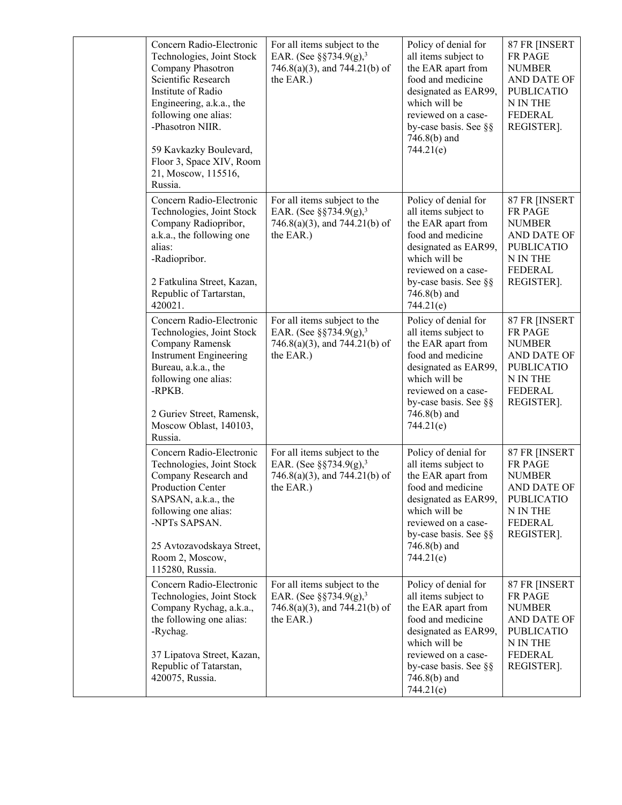| Concern Radio-Electronic<br>Technologies, Joint Stock<br>Company Phasotron<br>Scientific Research<br>Institute of Radio<br>Engineering, a.k.a., the<br>following one alias:<br>-Phasotron NIIR.<br>59 Kavkazky Boulevard,<br>Floor 3, Space XIV, Room<br>21, Moscow, 115516,<br>Russia. | For all items subject to the<br>EAR. (See $\S$ §734.9(g), <sup>3</sup><br>$746.8(a)(3)$ , and $744.21(b)$ of<br>the EAR.) | Policy of denial for<br>all items subject to<br>the EAR apart from<br>food and medicine<br>designated as EAR99,<br>which will be<br>reviewed on a case-<br>by-case basis. See §§<br>$746.8(b)$ and<br>744.21(e) | 87 FR [INSERT<br>FR PAGE<br><b>NUMBER</b><br>AND DATE OF<br><b>PUBLICATIO</b><br>N IN THE<br><b>FEDERAL</b><br>REGISTER].        |
|-----------------------------------------------------------------------------------------------------------------------------------------------------------------------------------------------------------------------------------------------------------------------------------------|---------------------------------------------------------------------------------------------------------------------------|-----------------------------------------------------------------------------------------------------------------------------------------------------------------------------------------------------------------|----------------------------------------------------------------------------------------------------------------------------------|
| Concern Radio-Electronic<br>Technologies, Joint Stock<br>Company Radiopribor,<br>a.k.a., the following one<br>alias:<br>-Radiopribor.<br>2 Fatkulina Street, Kazan,<br>Republic of Tartarstan,<br>420021.                                                                               | For all items subject to the<br>EAR. (See $\S$ §734.9(g), <sup>3</sup><br>746.8(a)(3), and 744.21(b) of<br>the EAR.)      | Policy of denial for<br>all items subject to<br>the EAR apart from<br>food and medicine<br>designated as EAR99,<br>which will be<br>reviewed on a case-<br>by-case basis. See §§<br>$746.8(b)$ and<br>744.21(e) | 87 FR [INSERT<br><b>FR PAGE</b><br><b>NUMBER</b><br>AND DATE OF<br><b>PUBLICATIO</b><br>N IN THE<br><b>FEDERAL</b><br>REGISTER]. |
| Concern Radio-Electronic<br>Technologies, Joint Stock<br>Company Ramensk<br><b>Instrument Engineering</b><br>Bureau, a.k.a., the<br>following one alias:<br>-RPKB.<br>2 Guriev Street, Ramensk,<br>Moscow Oblast, 140103,<br>Russia.                                                    | For all items subject to the<br>EAR. (See §§734.9(g), <sup>3</sup><br>$746.8(a)(3)$ , and $744.21(b)$ of<br>the EAR.)     | Policy of denial for<br>all items subject to<br>the EAR apart from<br>food and medicine<br>designated as EAR99,<br>which will be<br>reviewed on a case-<br>by-case basis. See §§<br>$746.8(b)$ and<br>744.21(e) | 87 FR [INSERT<br><b>FR PAGE</b><br><b>NUMBER</b><br>AND DATE OF<br><b>PUBLICATIO</b><br>N IN THE<br><b>FEDERAL</b><br>REGISTER]. |
| Concern Radio-Electronic<br>Technologies, Joint Stock<br>Company Research and<br><b>Production Center</b><br>SAPSAN, a.k.a., the<br>following one alias:<br>-NPTs SAPSAN.<br>25 Avtozavodskaya Street,<br>Room 2, Moscow,<br>115280, Russia.                                            | For all items subject to the<br>EAR. (See $\S$ §734.9(g), <sup>3</sup><br>$746.8(a)(3)$ , and $744.21(b)$ of<br>the EAR.) | Policy of denial for<br>all items subject to<br>the EAR apart from<br>food and medicine<br>designated as EAR99,<br>which will be<br>reviewed on a case-<br>by-case basis. See §§<br>$746.8(b)$ and<br>744.21(e) | 87 FR [INSERT<br><b>FR PAGE</b><br><b>NUMBER</b><br>AND DATE OF<br><b>PUBLICATIO</b><br>N IN THE<br><b>FEDERAL</b><br>REGISTER]. |
| Concern Radio-Electronic<br>Technologies, Joint Stock<br>Company Rychag, a.k.a.,<br>the following one alias:<br>-Rychag.<br>37 Lipatova Street, Kazan,<br>Republic of Tatarstan,<br>420075, Russia.                                                                                     | For all items subject to the<br>EAR. (See $\S$ §734.9(g), <sup>3</sup><br>$746.8(a)(3)$ , and $744.21(b)$ of<br>the EAR.) | Policy of denial for<br>all items subject to<br>the EAR apart from<br>food and medicine<br>designated as EAR99,<br>which will be<br>reviewed on a case-<br>by-case basis. See §§<br>$746.8(b)$ and<br>744.21(e) | 87 FR [INSERT<br>FR PAGE<br><b>NUMBER</b><br>AND DATE OF<br><b>PUBLICATIO</b><br>N IN THE<br><b>FEDERAL</b><br>REGISTER].        |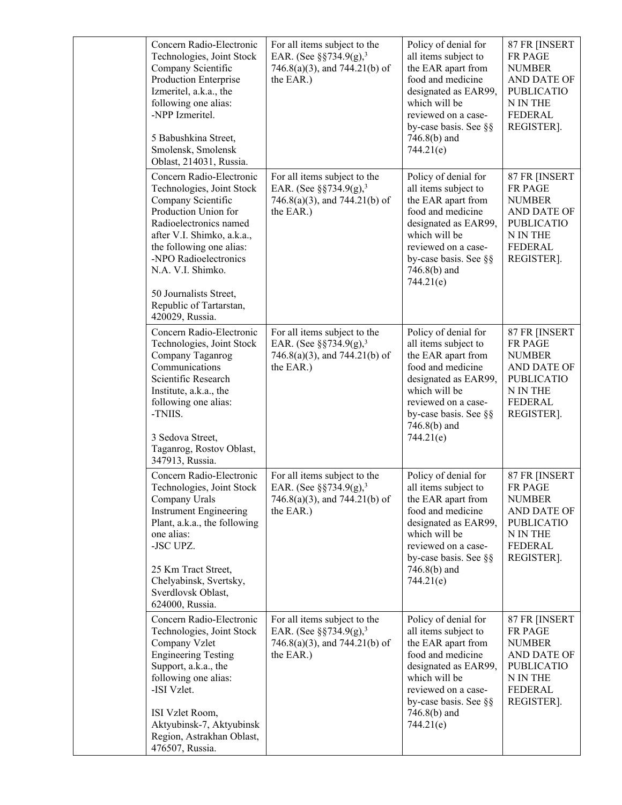| Concern Radio-Electronic<br>Technologies, Joint Stock<br>Company Scientific<br>Production Enterprise<br>Izmeritel, a.k.a., the<br>following one alias:<br>-NPP Izmeritel.<br>5 Babushkina Street,<br>Smolensk, Smolensk<br>Oblast, 214031, Russia.                                                            | For all items subject to the<br>EAR. (See $\S$ §734.9(g), <sup>3</sup><br>$746.8(a)(3)$ , and $744.21(b)$ of<br>the EAR.) | Policy of denial for<br>all items subject to<br>the EAR apart from<br>food and medicine<br>designated as EAR99,<br>which will be<br>reviewed on a case-<br>by-case basis. See §§<br>$746.8(b)$ and<br>744.21(e) | 87 FR [INSERT<br>FR PAGE<br><b>NUMBER</b><br>AND DATE OF<br><b>PUBLICATIO</b><br>N IN THE<br><b>FEDERAL</b><br>REGISTER].        |
|---------------------------------------------------------------------------------------------------------------------------------------------------------------------------------------------------------------------------------------------------------------------------------------------------------------|---------------------------------------------------------------------------------------------------------------------------|-----------------------------------------------------------------------------------------------------------------------------------------------------------------------------------------------------------------|----------------------------------------------------------------------------------------------------------------------------------|
| Concern Radio-Electronic<br>Technologies, Joint Stock<br>Company Scientific<br>Production Union for<br>Radioelectronics named<br>after V.I. Shimko, a.k.a.,<br>the following one alias:<br>-NPO Radioelectronics<br>N.A. V.I. Shimko.<br>50 Journalists Street,<br>Republic of Tartarstan,<br>420029, Russia. | For all items subject to the<br>EAR. (See §§734.9(g), <sup>3</sup><br>$746.8(a)(3)$ , and $744.21(b)$ of<br>the EAR.)     | Policy of denial for<br>all items subject to<br>the EAR apart from<br>food and medicine<br>designated as EAR99,<br>which will be<br>reviewed on a case-<br>by-case basis. See §§<br>$746.8(b)$ and<br>744.21(e) | 87 FR [INSERT<br>FR PAGE<br><b>NUMBER</b><br>AND DATE OF<br><b>PUBLICATIO</b><br>N IN THE<br><b>FEDERAL</b><br>REGISTER].        |
| Concern Radio-Electronic<br>Technologies, Joint Stock<br>Company Taganrog<br>Communications<br>Scientific Research<br>Institute, a.k.a., the<br>following one alias:<br>-TNIIS.<br>3 Sedova Street,<br>Taganrog, Rostov Oblast,<br>347913, Russia.                                                            | For all items subject to the<br>EAR. (See $\S$ §734.9(g), <sup>3</sup><br>$746.8(a)(3)$ , and $744.21(b)$ of<br>the EAR.) | Policy of denial for<br>all items subject to<br>the EAR apart from<br>food and medicine<br>designated as EAR99,<br>which will be<br>reviewed on a case-<br>by-case basis. See §§<br>$746.8(b)$ and<br>744.21(e) | 87 FR [INSERT<br><b>FR PAGE</b><br><b>NUMBER</b><br>AND DATE OF<br><b>PUBLICATIO</b><br>N IN THE<br><b>FEDERAL</b><br>REGISTER]. |
| Concern Radio-Electronic<br>Technologies, Joint Stock<br>Company Urals<br><b>Instrument Engineering</b><br>Plant, a.k.a., the following<br>one alias:<br>-JSC UPZ.<br>25 Km Tract Street,<br>Chelyabinsk, Svertsky,<br>Sverdlovsk Oblast,<br>624000, Russia.                                                  | For all items subject to the<br>EAR. (See $\S$ §734.9(g), <sup>3</sup><br>746.8(a)(3), and 744.21(b) of<br>the EAR.)      | Policy of denial for<br>all items subject to<br>the EAR apart from<br>food and medicine<br>designated as EAR99,<br>which will be<br>reviewed on a case-<br>by-case basis. See §§<br>$746.8(b)$ and<br>744.21(e) | 87 FR [INSERT<br>FR PAGE<br><b>NUMBER</b><br>AND DATE OF<br><b>PUBLICATIO</b><br>N IN THE<br><b>FEDERAL</b><br>REGISTER].        |
| Concern Radio-Electronic<br>Technologies, Joint Stock<br>Company Vzlet<br><b>Engineering Testing</b><br>Support, a.k.a., the<br>following one alias:<br>-ISI Vzlet.<br>ISI Vzlet Room,<br>Aktyubinsk-7, Aktyubinsk<br>Region, Astrakhan Oblast,<br>476507, Russia.                                            | For all items subject to the<br>EAR. (See $\S$ §734.9(g), <sup>3</sup><br>$746.8(a)(3)$ , and $744.21(b)$ of<br>the EAR.) | Policy of denial for<br>all items subject to<br>the EAR apart from<br>food and medicine<br>designated as EAR99,<br>which will be<br>reviewed on a case-<br>by-case basis. See §§<br>746.8(b) and<br>744.21(e)   | 87 FR [INSERT<br>FR PAGE<br><b>NUMBER</b><br>AND DATE OF<br><b>PUBLICATIO</b><br>N IN THE<br><b>FEDERAL</b><br>REGISTER].        |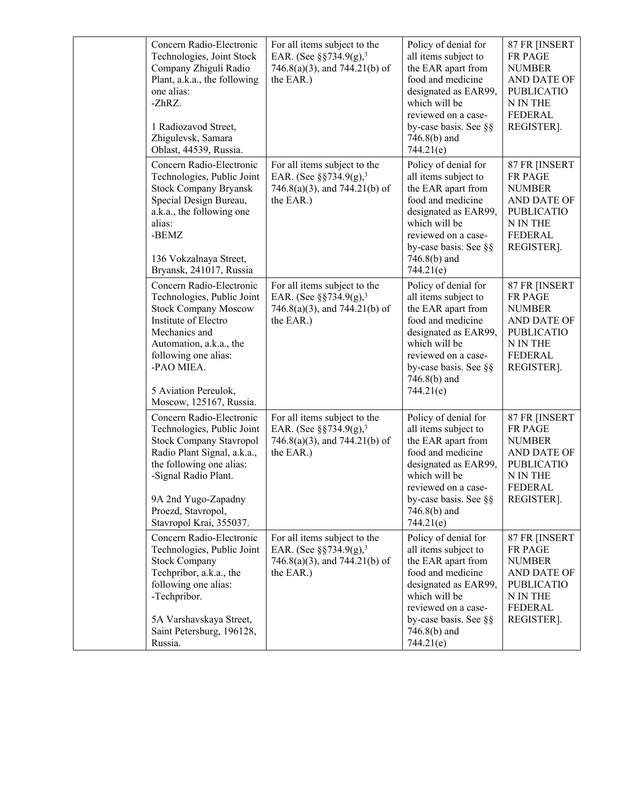| Concern Radio-Electronic<br>Technologies, Joint Stock<br>Company Zhiguli Radio<br>Plant, a.k.a., the following<br>one alias:<br>-ZhRZ.<br>1 Radiozavod Street,<br>Zhigulevsk, Samara<br>Oblast, 44539, Russia.                                      | For all items subject to the<br>EAR. (See §§734.9(g), <sup>3</sup><br>746.8(a)(3), and 744.21(b) of<br>the EAR.)     | Policy of denial for<br>all items subject to<br>the EAR apart from<br>food and medicine<br>designated as EAR99,<br>which will be<br>reviewed on a case-<br>by-case basis. See §§<br>$746.8(b)$ and<br>744.21(e) | 87 FR [INSERT<br><b>FR PAGE</b><br><b>NUMBER</b><br>AND DATE OF<br><b>PUBLICATIO</b><br>N IN THE<br><b>FEDERAL</b><br>REGISTER]. |
|-----------------------------------------------------------------------------------------------------------------------------------------------------------------------------------------------------------------------------------------------------|----------------------------------------------------------------------------------------------------------------------|-----------------------------------------------------------------------------------------------------------------------------------------------------------------------------------------------------------------|----------------------------------------------------------------------------------------------------------------------------------|
| Concern Radio-Electronic<br>Technologies, Public Joint<br><b>Stock Company Bryansk</b><br>Special Design Bureau,<br>a.k.a., the following one<br>alias:<br>-BEMZ<br>136 Vokzalnaya Street,<br>Bryansk, 241017, Russia                               | For all items subject to the<br>EAR. (See $\S$ §734.9(g), <sup>3</sup><br>746.8(a)(3), and 744.21(b) of<br>the EAR.) | Policy of denial for<br>all items subject to<br>the EAR apart from<br>food and medicine<br>designated as EAR99,<br>which will be<br>reviewed on a case-<br>by-case basis. See §§<br>$746.8(b)$ and<br>744.21(e) | 87 FR [INSERT<br>FR PAGE<br><b>NUMBER</b><br>AND DATE OF<br><b>PUBLICATIO</b><br>N IN THE<br><b>FEDERAL</b><br>REGISTER].        |
| Concern Radio-Electronic<br>Technologies, Public Joint<br><b>Stock Company Moscow</b><br>Institute of Electro<br>Mechanics and<br>Automation, a.k.a., the<br>following one alias:<br>-PAO MIEA.<br>5 Aviation Pereulok,<br>Moscow, 125167, Russia.  | For all items subject to the<br>EAR. (See $\S$ §734.9(g), <sup>3</sup><br>746.8(a)(3), and 744.21(b) of<br>the EAR.) | Policy of denial for<br>all items subject to<br>the EAR apart from<br>food and medicine<br>designated as EAR99,<br>which will be<br>reviewed on a case-<br>by-case basis. See §§<br>746.8(b) and<br>744.21(e)   | 87 FR [INSERT<br>FR PAGE<br><b>NUMBER</b><br>AND DATE OF<br><b>PUBLICATIO</b><br>N IN THE<br><b>FEDERAL</b><br>REGISTER].        |
| Concern Radio-Electronic<br>Technologies, Public Joint<br><b>Stock Company Stavropol</b><br>Radio Plant Signal, a.k.a.,<br>the following one alias:<br>-Signal Radio Plant.<br>9A 2nd Yugo-Zapadny<br>Proezd, Stavropol,<br>Stavropol Krai, 355037. | For all items subject to the<br>EAR. (See $\S$ §734.9(g), <sup>3</sup><br>746.8(a)(3), and 744.21(b) of<br>the EAR.) | Policy of denial for<br>all items subject to<br>the EAR apart from<br>food and medicine<br>designated as EAR99,<br>which will be<br>reviewed on a case-<br>by-case basis. See §§<br>$746.8(b)$ and<br>744.21(e) | 87 FR [INSERT<br><b>FR PAGE</b><br><b>NUMBER</b><br>AND DATE OF<br><b>PUBLICATIO</b><br>N IN THE<br><b>FEDERAL</b><br>REGISTER]. |
| Concern Radio-Electronic<br>Technologies, Public Joint<br><b>Stock Company</b><br>Techpribor, a.k.a., the<br>following one alias:<br>-Techpribor.<br>5A Varshavskaya Street,<br>Saint Petersburg, 196128,<br>Russia.                                | For all items subject to the<br>EAR. (See $\S$ §734.9(g), <sup>3</sup><br>746.8(a)(3), and 744.21(b) of<br>the EAR.) | Policy of denial for<br>all items subject to<br>the EAR apart from<br>food and medicine<br>designated as EAR99,<br>which will be<br>reviewed on a case-<br>by-case basis. See §§<br>$746.8(b)$ and<br>744.21(e) | 87 FR [INSERT<br>FR PAGE<br><b>NUMBER</b><br>AND DATE OF<br><b>PUBLICATIO</b><br>N IN THE<br><b>FEDERAL</b><br>REGISTER].        |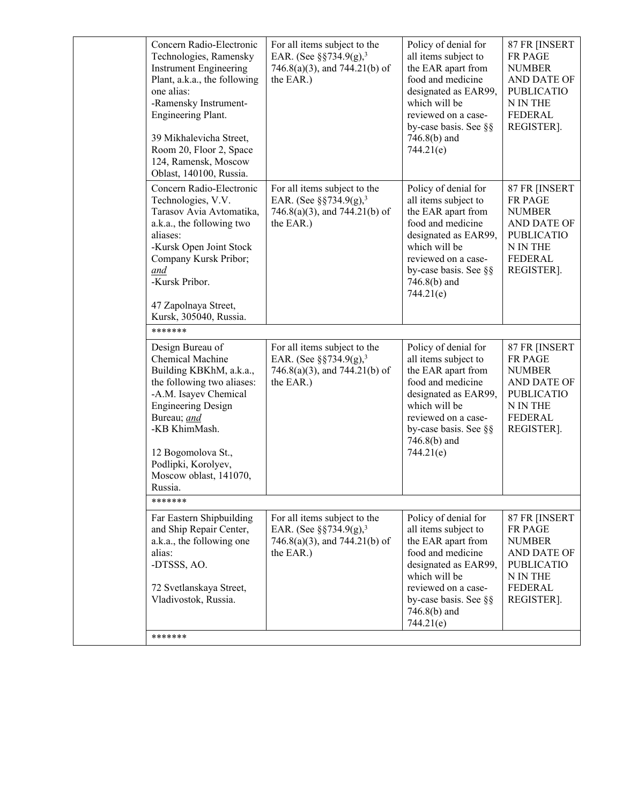|  | Concern Radio-Electronic<br>Technologies, Ramensky<br><b>Instrument Engineering</b><br>Plant, a.k.a., the following<br>one alias:<br>-Ramensky Instrument-<br>Engineering Plant.<br>39 Mikhalevicha Street,<br>Room 20, Floor 2, Space<br>124, Ramensk, Moscow<br>Oblast, 140100, Russia. | For all items subject to the<br>EAR. (See §§734.9(g), <sup>3</sup><br>746.8(a)(3), and 744.21(b) of<br>the EAR.)      | Policy of denial for<br>all items subject to<br>the EAR apart from<br>food and medicine<br>designated as EAR99,<br>which will be<br>reviewed on a case-<br>by-case basis. See §§<br>$746.8(b)$ and<br>744.21(e) | 87 FR [INSERT<br>FR PAGE<br><b>NUMBER</b><br>AND DATE OF<br><b>PUBLICATIO</b><br>N IN THE<br><b>FEDERAL</b><br>REGISTER]. |
|--|-------------------------------------------------------------------------------------------------------------------------------------------------------------------------------------------------------------------------------------------------------------------------------------------|-----------------------------------------------------------------------------------------------------------------------|-----------------------------------------------------------------------------------------------------------------------------------------------------------------------------------------------------------------|---------------------------------------------------------------------------------------------------------------------------|
|  | Concern Radio-Electronic<br>Technologies, V.V.<br>Tarasov Avia Avtomatika,<br>a.k.a., the following two<br>aliases:<br>-Kursk Open Joint Stock<br>Company Kursk Pribor;<br>and<br>-Kursk Pribor.<br>47 Zapolnaya Street,<br>Kursk, 305040, Russia.                                        | For all items subject to the<br>EAR. (See §§734.9(g), <sup>3</sup><br>$746.8(a)(3)$ , and $744.21(b)$ of<br>the EAR.) | Policy of denial for<br>all items subject to<br>the EAR apart from<br>food and medicine<br>designated as EAR99,<br>which will be<br>reviewed on a case-<br>by-case basis. See §§<br>$746.8(b)$ and<br>744.21(e) | 87 FR [INSERT<br>FR PAGE<br><b>NUMBER</b><br>AND DATE OF<br><b>PUBLICATIO</b><br>N IN THE<br><b>FEDERAL</b><br>REGISTER]. |
|  | *******                                                                                                                                                                                                                                                                                   |                                                                                                                       |                                                                                                                                                                                                                 |                                                                                                                           |
|  | Design Bureau of<br>Chemical Machine<br>Building KBKhM, a.k.a.,<br>the following two aliases:<br>-A.M. Isayev Chemical<br><b>Engineering Design</b><br>Bureau; and<br>-KB KhimMash.<br>12 Bogomolova St.,<br>Podlipki, Korolyev,<br>Moscow oblast, 141070,<br>Russia.                     | For all items subject to the<br>EAR. (See $\S$ §734.9(g), <sup>3</sup><br>746.8(a)(3), and 744.21(b) of<br>the EAR.)  | Policy of denial for<br>all items subject to<br>the EAR apart from<br>food and medicine<br>designated as EAR99,<br>which will be<br>reviewed on a case-<br>by-case basis. See §§<br>$746.8(b)$ and<br>744.21(e) | 87 FR [INSERT<br>FR PAGE<br><b>NUMBER</b><br>AND DATE OF<br><b>PUBLICATIO</b><br>N IN THE<br><b>FEDERAL</b><br>REGISTER]. |
|  | *******                                                                                                                                                                                                                                                                                   |                                                                                                                       |                                                                                                                                                                                                                 |                                                                                                                           |
|  | Far Eastern Shipbuilding<br>and Ship Repair Center,<br>a.k.a., the following one<br>alias:<br>-DTSSS, AO.<br>72 Svetlanskaya Street,<br>Vladivostok, Russia.                                                                                                                              | For all items subject to the<br>EAR. (See $\S$ §734.9(g), <sup>3</sup><br>746.8(a)(3), and 744.21(b) of<br>the EAR.)  | Policy of denial for<br>all items subject to<br>the EAR apart from<br>food and medicine<br>designated as EAR99,<br>which will be<br>reviewed on a case-<br>by-case basis. See §§<br>$746.8(b)$ and              | 87 FR [INSERT<br>FR PAGE<br><b>NUMBER</b><br>AND DATE OF<br><b>PUBLICATIO</b><br>N IN THE<br><b>FEDERAL</b><br>REGISTER]. |
|  | *******                                                                                                                                                                                                                                                                                   |                                                                                                                       | 744.21(e)                                                                                                                                                                                                       |                                                                                                                           |
|  |                                                                                                                                                                                                                                                                                           |                                                                                                                       |                                                                                                                                                                                                                 |                                                                                                                           |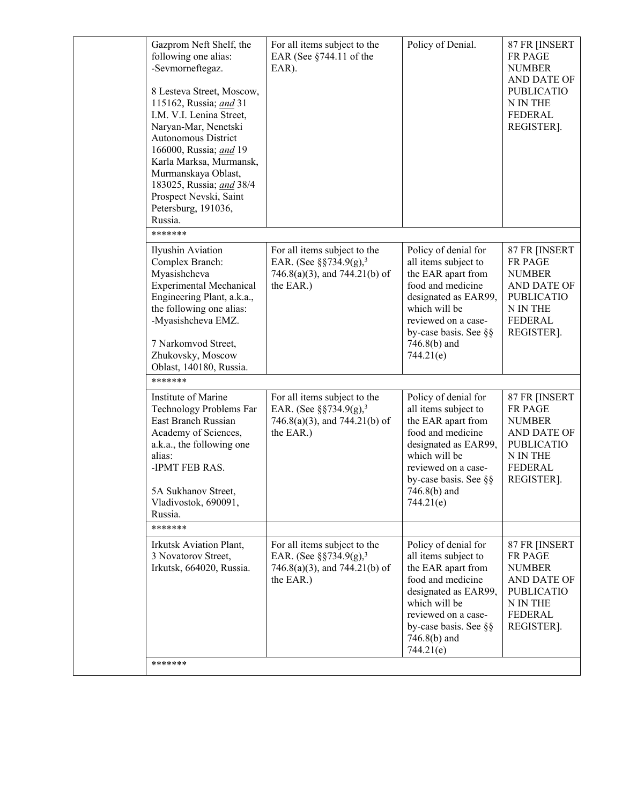| Gazprom Neft Shelf, the<br>following one alias:<br>-Sevmorneftegaz.<br>8 Lesteva Street, Moscow,<br>115162, Russia; and 31<br>I.M. V.I. Lenina Street,<br>Naryan-Mar, Nenetski<br>Autonomous District<br>166000, Russia; and 19<br>Karla Marksa, Murmansk,<br>Murmanskaya Oblast,<br>183025, Russia; and 38/4<br>Prospect Nevski, Saint<br>Petersburg, 191036,<br>Russia. | For all items subject to the<br>EAR (See $§744.11$ of the<br>EAR).                                                        | Policy of Denial.                                                                                                                                                                                               | 87 FR [INSERT<br>FR PAGE<br><b>NUMBER</b><br>AND DATE OF<br><b>PUBLICATIO</b><br>N IN THE<br><b>FEDERAL</b><br>REGISTER]. |
|---------------------------------------------------------------------------------------------------------------------------------------------------------------------------------------------------------------------------------------------------------------------------------------------------------------------------------------------------------------------------|---------------------------------------------------------------------------------------------------------------------------|-----------------------------------------------------------------------------------------------------------------------------------------------------------------------------------------------------------------|---------------------------------------------------------------------------------------------------------------------------|
| *******                                                                                                                                                                                                                                                                                                                                                                   |                                                                                                                           |                                                                                                                                                                                                                 |                                                                                                                           |
| Ilyushin Aviation<br>Complex Branch:<br>Myasishcheva<br><b>Experimental Mechanical</b><br>Engineering Plant, a.k.a.,<br>the following one alias:<br>-Myasishcheva EMZ.<br>7 Narkomvod Street,                                                                                                                                                                             | For all items subject to the<br>EAR. (See §§734.9(g), <sup>3</sup><br>746.8(a)(3), and 744.21(b) of<br>the EAR.)          | Policy of denial for<br>all items subject to<br>the EAR apart from<br>food and medicine<br>designated as EAR99,<br>which will be<br>reviewed on a case-<br>by-case basis. See §§<br>746.8(b) and                | 87 FR [INSERT<br>FR PAGE<br><b>NUMBER</b><br>AND DATE OF<br><b>PUBLICATIO</b><br>N IN THE<br><b>FEDERAL</b><br>REGISTER]. |
| Zhukovsky, Moscow                                                                                                                                                                                                                                                                                                                                                         |                                                                                                                           | 744.21(e)                                                                                                                                                                                                       |                                                                                                                           |
| Oblast, 140180, Russia.<br>*******                                                                                                                                                                                                                                                                                                                                        |                                                                                                                           |                                                                                                                                                                                                                 |                                                                                                                           |
| Institute of Marine<br>Technology Problems Far<br>East Branch Russian<br>Academy of Sciences,<br>a.k.a., the following one<br>alias:<br>-IPMT FEB RAS.<br>5A Sukhanov Street,<br>Vladivostok, 690091,<br>Russia.                                                                                                                                                          | For all items subject to the<br>EAR. (See $\S$ §734.9(g), <sup>3</sup><br>$746.8(a)(3)$ , and $744.21(b)$ of<br>the EAR.) | Policy of denial for<br>all items subject to<br>the EAR apart from<br>food and medicine<br>designated as EAR99,<br>which will be<br>reviewed on a case-<br>by-case basis. See §§<br>$746.8(b)$ and<br>744.21(e) | 87 FR [INSERT<br>FR PAGE<br><b>NUMBER</b><br>AND DATE OF<br><b>PUBLICATIO</b><br>N IN THE<br><b>FEDERAL</b><br>REGISTER]. |
| *******                                                                                                                                                                                                                                                                                                                                                                   |                                                                                                                           |                                                                                                                                                                                                                 |                                                                                                                           |
| Irkutsk Aviation Plant,<br>3 Novatorov Street,<br>Irkutsk, 664020, Russia.                                                                                                                                                                                                                                                                                                | For all items subject to the<br>EAR. (See $\S$ §734.9(g), <sup>3</sup><br>746.8(a)(3), and 744.21(b) of<br>the EAR.)      | Policy of denial for<br>all items subject to<br>the EAR apart from<br>food and medicine<br>designated as EAR99,<br>which will be<br>reviewed on a case-<br>by-case basis. See §§<br>$746.8(b)$ and<br>744.21(e) | 87 FR [INSERT<br>FR PAGE<br><b>NUMBER</b><br>AND DATE OF<br><b>PUBLICATIO</b><br>N IN THE<br><b>FEDERAL</b><br>REGISTER]. |
| *******                                                                                                                                                                                                                                                                                                                                                                   |                                                                                                                           |                                                                                                                                                                                                                 |                                                                                                                           |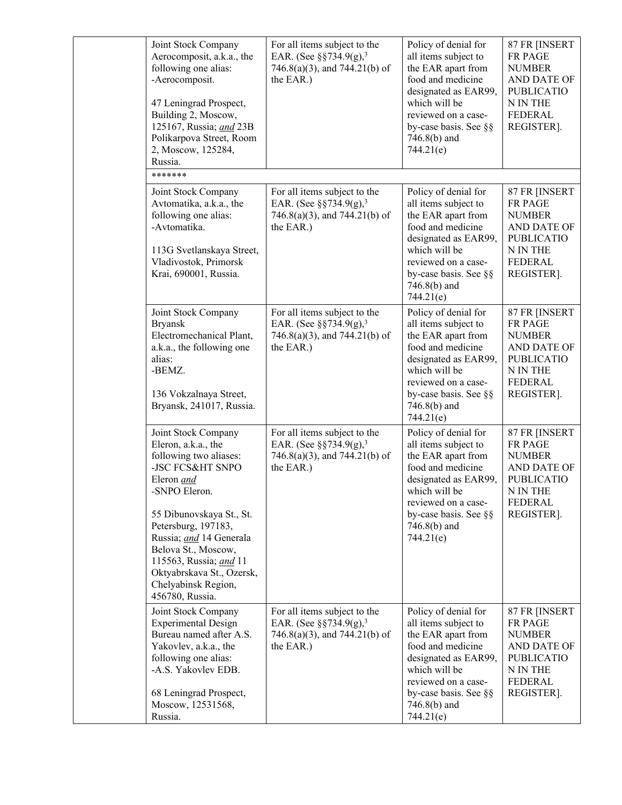| Joint Stock Company<br>Aerocomposit, a.k.a., the<br>following one alias:<br>-Aerocomposit.<br>47 Leningrad Prospect,<br>Building 2, Moscow,<br>125167, Russia; and 23B<br>Polikarpova Street, Room<br>2, Moscow, 125284,<br>Russia.                                                                                           | For all items subject to the<br>EAR. (See $\S$ §734.9(g), <sup>3</sup><br>746.8(a)(3), and 744.21(b) of<br>the EAR.)      | Policy of denial for<br>all items subject to<br>the EAR apart from<br>food and medicine<br>designated as EAR99,<br>which will be<br>reviewed on a case-<br>by-case basis. See §§<br>$746.8(b)$ and<br>744.21(e) | 87 FR [INSERT<br>FR PAGE<br><b>NUMBER</b><br>AND DATE OF<br><b>PUBLICATIO</b><br>N IN THE<br><b>FEDERAL</b><br>REGISTER]. |
|-------------------------------------------------------------------------------------------------------------------------------------------------------------------------------------------------------------------------------------------------------------------------------------------------------------------------------|---------------------------------------------------------------------------------------------------------------------------|-----------------------------------------------------------------------------------------------------------------------------------------------------------------------------------------------------------------|---------------------------------------------------------------------------------------------------------------------------|
| *******                                                                                                                                                                                                                                                                                                                       |                                                                                                                           |                                                                                                                                                                                                                 |                                                                                                                           |
| Joint Stock Company<br>Avtomatika, a.k.a., the<br>following one alias:<br>-Avtomatika.<br>113G Svetlanskaya Street,<br>Vladivostok, Primorsk<br>Krai, 690001, Russia.                                                                                                                                                         | For all items subject to the<br>EAR. (See §§734.9(g), <sup>3</sup><br>$746.8(a)(3)$ , and $744.21(b)$ of<br>the EAR.)     | Policy of denial for<br>all items subject to<br>the EAR apart from<br>food and medicine<br>designated as EAR99,<br>which will be<br>reviewed on a case-<br>by-case basis. See §§<br>746.8(b) and<br>744.21(e)   | 87 FR [INSERT<br>FR PAGE<br><b>NUMBER</b><br>AND DATE OF<br><b>PUBLICATIO</b><br>N IN THE<br><b>FEDERAL</b><br>REGISTER]. |
| Joint Stock Company<br><b>Bryansk</b><br>Electromechanical Plant,<br>a.k.a., the following one<br>alias:<br>-BEMZ.<br>136 Vokzalnaya Street,<br>Bryansk, 241017, Russia.                                                                                                                                                      | For all items subject to the<br>EAR. (See $\S$ §734.9(g), <sup>3</sup><br>$746.8(a)(3)$ , and $744.21(b)$ of<br>the EAR.) | Policy of denial for<br>all items subject to<br>the EAR apart from<br>food and medicine<br>designated as EAR99,<br>which will be<br>reviewed on a case-<br>by-case basis. See §§<br>$746.8(b)$ and<br>744.21(e) | 87 FR [INSERT<br>FR PAGE<br><b>NUMBER</b><br>AND DATE OF<br><b>PUBLICATIO</b><br>N IN THE<br>FEDERAL<br>REGISTER].        |
| Joint Stock Company<br>Eleron, a.k.a., the<br>following two aliases:<br>-JSC FCS&HT SNPO<br>Eleron and<br>-SNPO Eleron.<br>55 Dibunovskaya St., St.<br>Petersburg, 197183,<br>Russia; and 14 Generala<br>Belova St., Moscow,<br>115563, Russia; and 11<br>Oktyabrskava St., Ozersk,<br>Chelyabinsk Region,<br>456780, Russia. | For all items subject to the<br>EAR. (See $\S$ §734.9(g), <sup>3</sup><br>$746.8(a)(3)$ , and $744.21(b)$ of<br>the EAR.) | Policy of denial for<br>all items subject to<br>the EAR apart from<br>food and medicine<br>designated as EAR99,<br>which will be<br>reviewed on a case-<br>by-case basis. See §§<br>$746.8(b)$ and<br>744.21(e) | 87 FR [INSERT<br>FR PAGE<br><b>NUMBER</b><br>AND DATE OF<br><b>PUBLICATIO</b><br>N IN THE<br><b>FEDERAL</b><br>REGISTER]. |
| Joint Stock Company<br><b>Experimental Design</b><br>Bureau named after A.S.<br>Yakovlev, a.k.a., the<br>following one alias:<br>-A.S. Yakovlev EDB.<br>68 Leningrad Prospect,<br>Moscow, 12531568,<br>Russia.                                                                                                                | For all items subject to the<br>EAR. (See $\S$ §734.9(g), <sup>3</sup><br>$746.8(a)(3)$ , and $744.21(b)$ of<br>the EAR.) | Policy of denial for<br>all items subject to<br>the EAR apart from<br>food and medicine<br>designated as EAR99,<br>which will be<br>reviewed on a case-<br>by-case basis. See §§<br>746.8(b) and<br>744.21(e)   | 87 FR [INSERT<br>FR PAGE<br><b>NUMBER</b><br>AND DATE OF<br><b>PUBLICATIO</b><br>N IN THE<br><b>FEDERAL</b><br>REGISTER]. |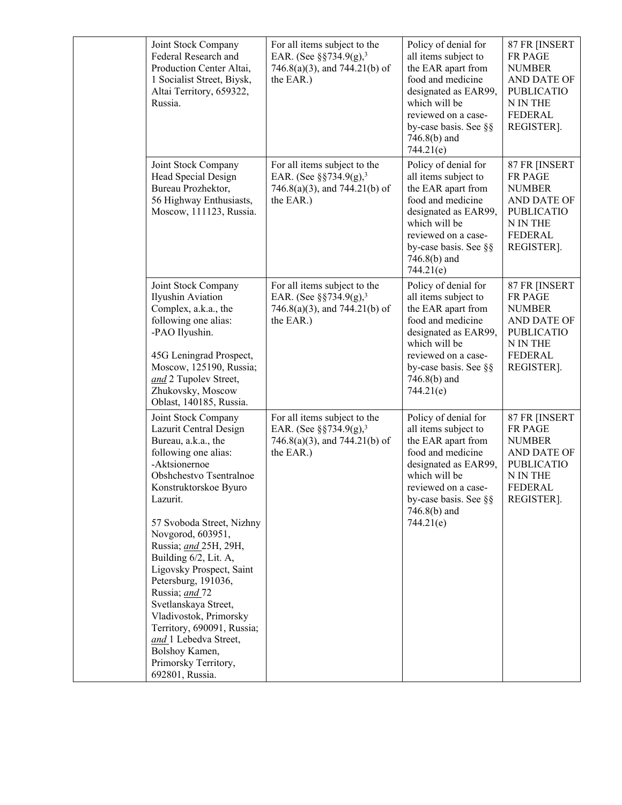| Joint Stock Company<br>Federal Research and<br>Production Center Altai,<br>1 Socialist Street, Biysk,<br>Altai Territory, 659322,<br>Russia.                                                                                                                                                                                                                                                                                                                                                                                 | For all items subject to the<br>EAR. (See $\S$ §734.9(g), <sup>3</sup><br>746.8(a)(3), and 744.21(b) of<br>the EAR.)      | Policy of denial for<br>all items subject to<br>the EAR apart from<br>food and medicine<br>designated as EAR99,<br>which will be<br>reviewed on a case-<br>by-case basis. See §§<br>$746.8(b)$ and<br>744.21(e) | 87 FR [INSERT<br>FR PAGE<br><b>NUMBER</b><br>AND DATE OF<br><b>PUBLICATIO</b><br>N IN THE<br><b>FEDERAL</b><br>REGISTER]. |
|------------------------------------------------------------------------------------------------------------------------------------------------------------------------------------------------------------------------------------------------------------------------------------------------------------------------------------------------------------------------------------------------------------------------------------------------------------------------------------------------------------------------------|---------------------------------------------------------------------------------------------------------------------------|-----------------------------------------------------------------------------------------------------------------------------------------------------------------------------------------------------------------|---------------------------------------------------------------------------------------------------------------------------|
| Joint Stock Company<br>Head Special Design<br>Bureau Prozhektor,<br>56 Highway Enthusiasts,<br>Moscow, 111123, Russia.                                                                                                                                                                                                                                                                                                                                                                                                       | For all items subject to the<br>EAR. (See $\S$ §734.9(g), <sup>3</sup><br>$746.8(a)(3)$ , and $744.21(b)$ of<br>the EAR.) | Policy of denial for<br>all items subject to<br>the EAR apart from<br>food and medicine<br>designated as EAR99,<br>which will be<br>reviewed on a case-<br>by-case basis. See §§<br>746.8(b) and<br>744.21(e)   | 87 FR [INSERT<br>FR PAGE<br><b>NUMBER</b><br>AND DATE OF<br><b>PUBLICATIO</b><br>N IN THE<br><b>FEDERAL</b><br>REGISTER]. |
| Joint Stock Company<br>Ilyushin Aviation<br>Complex, a.k.a., the<br>following one alias:<br>-PAO Ilyushin.<br>45G Leningrad Prospect,<br>Moscow, 125190, Russia;<br>and 2 Tupolev Street,<br>Zhukovsky, Moscow<br>Oblast, 140185, Russia.                                                                                                                                                                                                                                                                                    | For all items subject to the<br>EAR. (See $\S$ §734.9(g), <sup>3</sup><br>746.8(a)(3), and 744.21(b) of<br>the EAR.)      | Policy of denial for<br>all items subject to<br>the EAR apart from<br>food and medicine<br>designated as EAR99,<br>which will be<br>reviewed on a case-<br>by-case basis. See §§<br>746.8(b) and<br>744.21(e)   | 87 FR [INSERT<br>FR PAGE<br><b>NUMBER</b><br>AND DATE OF<br><b>PUBLICATIO</b><br>N IN THE<br><b>FEDERAL</b><br>REGISTER]. |
| Joint Stock Company<br>Lazurit Central Design<br>Bureau, a.k.a., the<br>following one alias:<br>-Aktsionernoe<br>Obshchestvo Tsentralnoe<br>Konstruktorskoe Byuro<br>Lazurit.<br>57 Svoboda Street, Nizhny<br>Novgorod, 603951,<br>Russia; and 25H, 29H,<br>Building 6/2, Lit. A,<br>Ligovsky Prospect, Saint<br>Petersburg, 191036,<br>Russia; and 72<br>Svetlanskaya Street,<br>Vladivostok, Primorsky<br>Territory, 690091, Russia;<br>and_1 Lebedva Street,<br>Bolshoy Kamen,<br>Primorsky Territory,<br>692801, Russia. | For all items subject to the<br>EAR. (See $\S$ §734.9(g), <sup>3</sup><br>$746.8(a)(3)$ , and $744.21(b)$ of<br>the EAR.) | Policy of denial for<br>all items subject to<br>the EAR apart from<br>food and medicine<br>designated as EAR99,<br>which will be<br>reviewed on a case-<br>by-case basis. See §§<br>746.8(b) and<br>744.21(e)   | 87 FR [INSERT<br>FR PAGE<br><b>NUMBER</b><br>AND DATE OF<br><b>PUBLICATIO</b><br>N IN THE<br><b>FEDERAL</b><br>REGISTER]. |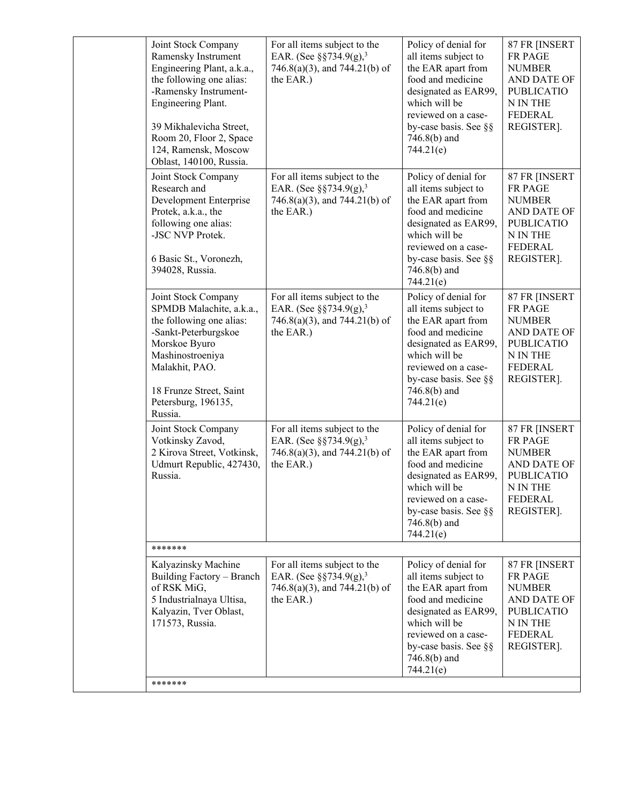|  | Joint Stock Company<br>Ramensky Instrument<br>Engineering Plant, a.k.a.,<br>the following one alias:<br>-Ramensky Instrument-<br>Engineering Plant.<br>39 Mikhalevicha Street,<br>Room 20, Floor 2, Space<br>124, Ramensk, Moscow<br>Oblast, 140100, Russia. | For all items subject to the<br>EAR. (See §§734.9(g), <sup>3</sup><br>746.8(a)(3), and 744.21(b) of<br>the EAR.)     | Policy of denial for<br>all items subject to<br>the EAR apart from<br>food and medicine<br>designated as EAR99,<br>which will be<br>reviewed on a case-<br>by-case basis. See §§<br>$746.8(b)$ and<br>744.21(e) | 87 FR [INSERT<br>FR PAGE<br><b>NUMBER</b><br>AND DATE OF<br><b>PUBLICATIO</b><br>N IN THE<br><b>FEDERAL</b><br>REGISTER]. |  |
|--|--------------------------------------------------------------------------------------------------------------------------------------------------------------------------------------------------------------------------------------------------------------|----------------------------------------------------------------------------------------------------------------------|-----------------------------------------------------------------------------------------------------------------------------------------------------------------------------------------------------------------|---------------------------------------------------------------------------------------------------------------------------|--|
|  | Joint Stock Company<br>Research and<br>Development Enterprise<br>Protek, a.k.a., the<br>following one alias:<br>-JSC NVP Protek.<br>6 Basic St., Voronezh,<br>394028, Russia.                                                                                | For all items subject to the<br>EAR. (See $\S$ §734.9(g), <sup>3</sup><br>746.8(a)(3), and 744.21(b) of<br>the EAR.) | Policy of denial for<br>all items subject to<br>the EAR apart from<br>food and medicine<br>designated as EAR99,<br>which will be<br>reviewed on a case-<br>by-case basis. See §§<br>746.8(b) and<br>744.21(e)   | 87 FR [INSERT<br>FR PAGE<br><b>NUMBER</b><br>AND DATE OF<br><b>PUBLICATIO</b><br>N IN THE<br><b>FEDERAL</b><br>REGISTER]. |  |
|  | Joint Stock Company<br>SPMDB Malachite, a.k.a.,<br>the following one alias:<br>-Sankt-Peterburgskoe<br>Morskoe Byuro<br>Mashinostroeniya<br>Malakhit, PAO.<br>18 Frunze Street, Saint<br>Petersburg, 196135,<br>Russia.                                      | For all items subject to the<br>EAR. (See §§734.9(g), <sup>3</sup><br>746.8(a)(3), and 744.21(b) of<br>the EAR.)     | Policy of denial for<br>all items subject to<br>the EAR apart from<br>food and medicine<br>designated as EAR99,<br>which will be<br>reviewed on a case-<br>by-case basis. See §§<br>$746.8(b)$ and<br>744.21(e) | 87 FR [INSERT<br>FR PAGE<br><b>NUMBER</b><br>AND DATE OF<br><b>PUBLICATIO</b><br>N IN THE<br><b>FEDERAL</b><br>REGISTER]. |  |
|  | Joint Stock Company<br>Votkinsky Zavod,<br>2 Kirova Street, Votkinsk,<br>Udmurt Republic, 427430,<br>Russia.                                                                                                                                                 | For all items subject to the<br>EAR. (See $\S$ §734.9(g), <sup>3</sup><br>746.8(a)(3), and 744.21(b) of<br>the EAR.) | Policy of denial for<br>all items subject to<br>the EAR apart from<br>food and medicine<br>designated as EAR99,<br>which will be<br>reviewed on a case-<br>by-case basis. See §§<br>746.8(b) and<br>744.21(e)   | 87 FR [INSERT<br>FR PAGE<br><b>NUMBER</b><br>AND DATE OF<br><b>PUBLICATIO</b><br>N IN THE<br><b>FEDERAL</b><br>REGISTER]. |  |
|  | *******                                                                                                                                                                                                                                                      |                                                                                                                      |                                                                                                                                                                                                                 |                                                                                                                           |  |
|  | Kalyazinsky Machine<br>Building Factory - Branch<br>of RSK MiG,<br>5 Industrialnaya Ultisa,<br>Kalyazin, Tver Oblast,<br>171573, Russia.                                                                                                                     | For all items subject to the<br>EAR. (See §§734.9(g), <sup>3</sup><br>746.8(a)(3), and 744.21(b) of<br>the EAR.)     | Policy of denial for<br>all items subject to<br>the EAR apart from<br>food and medicine<br>designated as EAR99,<br>which will be<br>reviewed on a case-<br>by-case basis. See §§<br>746.8(b) and<br>744.21(e)   | 87 FR [INSERT<br>FR PAGE<br><b>NUMBER</b><br>AND DATE OF<br><b>PUBLICATIO</b><br>N IN THE<br><b>FEDERAL</b><br>REGISTER]. |  |
|  | *******                                                                                                                                                                                                                                                      |                                                                                                                      |                                                                                                                                                                                                                 |                                                                                                                           |  |
|  |                                                                                                                                                                                                                                                              |                                                                                                                      |                                                                                                                                                                                                                 |                                                                                                                           |  |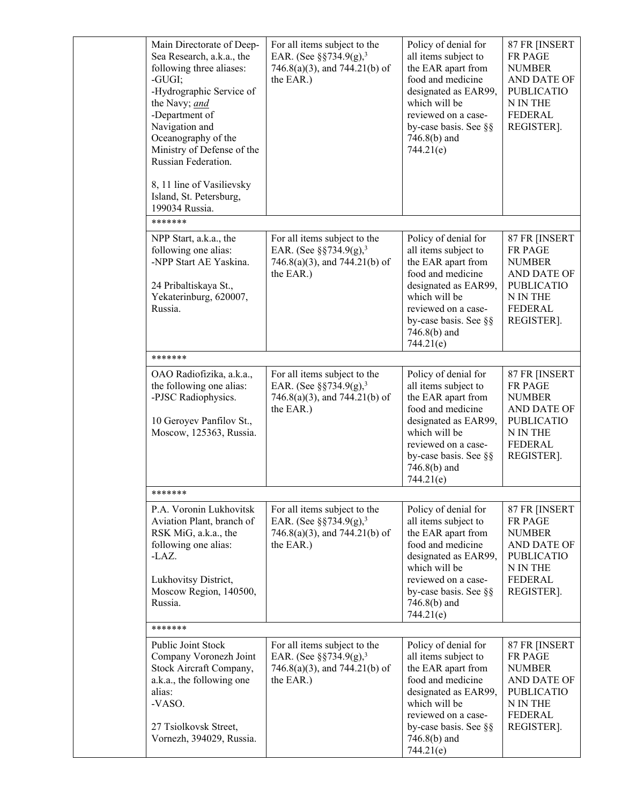| Main Directorate of Deep-<br>Sea Research, a.k.a., the<br>following three aliases:<br>-GUGI;<br>-Hydrographic Service of<br>the Navy; and<br>-Department of<br>Navigation and<br>Oceanography of the<br>Ministry of Defense of the<br>Russian Federation.<br>8, 11 line of Vasilievsky<br>Island, St. Petersburg,<br>199034 Russia. | For all items subject to the<br>EAR. (See §§734.9(g), <sup>3</sup><br>746.8(a)(3), and 744.21(b) of<br>the EAR.)          | Policy of denial for<br>all items subject to<br>the EAR apart from<br>food and medicine<br>designated as EAR99,<br>which will be<br>reviewed on a case-<br>by-case basis. See §§<br>$746.8(b)$ and<br>744.21(e) | 87 FR [INSERT<br>FR PAGE<br><b>NUMBER</b><br>AND DATE OF<br><b>PUBLICATIO</b><br>N IN THE<br><b>FEDERAL</b><br>REGISTER]. |  |
|-------------------------------------------------------------------------------------------------------------------------------------------------------------------------------------------------------------------------------------------------------------------------------------------------------------------------------------|---------------------------------------------------------------------------------------------------------------------------|-----------------------------------------------------------------------------------------------------------------------------------------------------------------------------------------------------------------|---------------------------------------------------------------------------------------------------------------------------|--|
| *******                                                                                                                                                                                                                                                                                                                             |                                                                                                                           |                                                                                                                                                                                                                 |                                                                                                                           |  |
| NPP Start, a.k.a., the<br>following one alias:<br>-NPP Start AE Yaskina.<br>24 Pribaltiskaya St.,<br>Yekaterinburg, 620007,<br>Russia.                                                                                                                                                                                              | For all items subject to the<br>EAR. (See $\S$ §734.9(g), <sup>3</sup><br>$746.8(a)(3)$ , and $744.21(b)$ of<br>the EAR.) | Policy of denial for<br>all items subject to<br>the EAR apart from<br>food and medicine<br>designated as EAR99,<br>which will be<br>reviewed on a case-<br>by-case basis. See §§<br>$746.8(b)$ and<br>744.21(e) | 87 FR [INSERT<br>FR PAGE<br><b>NUMBER</b><br>AND DATE OF<br><b>PUBLICATIO</b><br>N IN THE<br><b>FEDERAL</b><br>REGISTER]. |  |
| *******                                                                                                                                                                                                                                                                                                                             |                                                                                                                           |                                                                                                                                                                                                                 |                                                                                                                           |  |
| OAO Radiofizika, a.k.a.,<br>the following one alias:<br>-PJSC Radiophysics.<br>10 Geroyev Panfilov St.,<br>Moscow, 125363, Russia.                                                                                                                                                                                                  | For all items subject to the<br>EAR. (See $\S$ §734.9(g), <sup>3</sup><br>746.8(a)(3), and 744.21(b) of<br>the EAR.)      | Policy of denial for<br>all items subject to<br>the EAR apart from<br>food and medicine<br>designated as EAR99,<br>which will be<br>reviewed on a case-<br>by-case basis. See §§<br>$746.8(b)$ and<br>744.21(e) | 87 FR [INSERT<br>FR PAGE<br><b>NUMBER</b><br>AND DATE OF<br><b>PUBLICATIO</b><br>N IN THE<br><b>FEDERAL</b><br>REGISTER]. |  |
| *******                                                                                                                                                                                                                                                                                                                             |                                                                                                                           |                                                                                                                                                                                                                 |                                                                                                                           |  |
| P.A. Voronin Lukhovitsk<br>Aviation Plant, branch of<br>RSK MiG, a.k.a., the<br>following one alias:<br>-LAZ.<br>Lukhovitsy District,<br>Moscow Region, 140500,<br>Russia.                                                                                                                                                          | For all items subject to the<br>EAR. (See $\S$ §734.9(g), <sup>3</sup><br>$746.8(a)(3)$ , and $744.21(b)$ of<br>the EAR.) | Policy of denial for<br>all items subject to<br>the EAR apart from<br>food and medicine<br>designated as EAR99,<br>which will be<br>reviewed on a case-<br>by-case basis. See §§<br>$746.8(b)$ and<br>744.21(e) | 87 FR [INSERT<br>FR PAGE<br><b>NUMBER</b><br>AND DATE OF<br><b>PUBLICATIO</b><br>N IN THE<br>FEDERAL<br>REGISTER].        |  |
| *******                                                                                                                                                                                                                                                                                                                             |                                                                                                                           |                                                                                                                                                                                                                 |                                                                                                                           |  |
| Public Joint Stock<br>Company Voronezh Joint<br>Stock Aircraft Company,<br>a.k.a., the following one<br>alias:<br>-VASO.<br>27 Tsiolkovsk Street,<br>Vornezh, 394029, Russia.                                                                                                                                                       | For all items subject to the<br>EAR. (See $\S$ §734.9(g), <sup>3</sup><br>746.8(a)(3), and 744.21(b) of<br>the EAR.)      | Policy of denial for<br>all items subject to<br>the EAR apart from<br>food and medicine<br>designated as EAR99,<br>which will be<br>reviewed on a case-<br>by-case basis. See §§<br>$746.8(b)$ and<br>744.21(e) | 87 FR [INSERT<br>FR PAGE<br><b>NUMBER</b><br>AND DATE OF<br><b>PUBLICATIO</b><br>N IN THE<br><b>FEDERAL</b><br>REGISTER]. |  |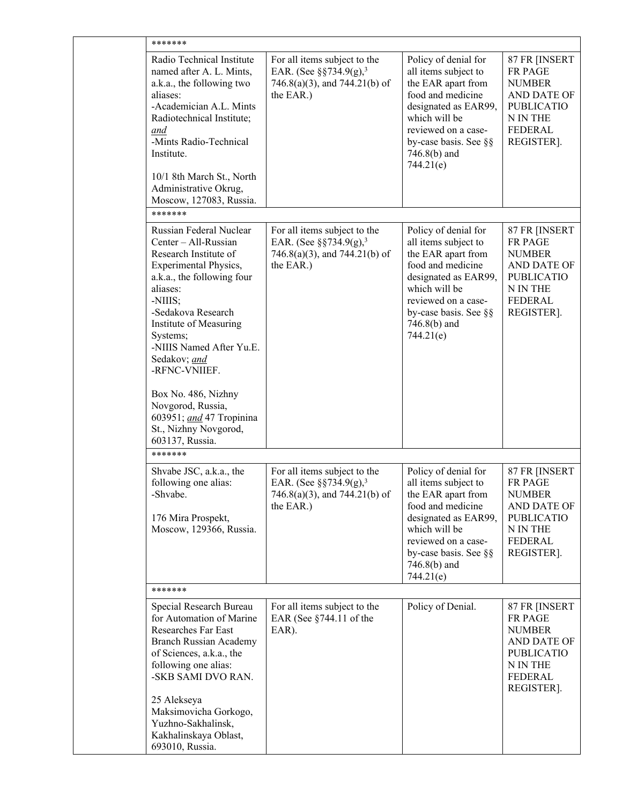| *******                                                                                                                                                                                                                                                                                                                     |                                                                                                                      |                                                                                                                                                                                                                 |                                                                                                                           |
|-----------------------------------------------------------------------------------------------------------------------------------------------------------------------------------------------------------------------------------------------------------------------------------------------------------------------------|----------------------------------------------------------------------------------------------------------------------|-----------------------------------------------------------------------------------------------------------------------------------------------------------------------------------------------------------------|---------------------------------------------------------------------------------------------------------------------------|
| Radio Technical Institute<br>named after A. L. Mints,<br>a.k.a., the following two<br>aliases:<br>-Academician A.L. Mints<br>Radiotechnical Institute;<br>and<br>-Mints Radio-Technical<br>Institute.<br>10/1 8th March St., North<br>Administrative Okrug,<br>Moscow, 127083, Russia.                                      | For all items subject to the<br>EAR. (See $\S$ §734.9(g), <sup>3</sup><br>746.8(a)(3), and 744.21(b) of<br>the EAR.) | Policy of denial for<br>all items subject to<br>the EAR apart from<br>food and medicine<br>designated as EAR99,<br>which will be<br>reviewed on a case-<br>by-case basis. See §§<br>$746.8(b)$ and<br>744.21(e) | 87 FR [INSERT<br>FR PAGE<br><b>NUMBER</b><br>AND DATE OF<br><b>PUBLICATIO</b><br>N IN THE<br><b>FEDERAL</b><br>REGISTER]. |
| *******                                                                                                                                                                                                                                                                                                                     |                                                                                                                      |                                                                                                                                                                                                                 |                                                                                                                           |
| Russian Federal Nuclear<br>Center - All-Russian<br>Research Institute of<br>Experimental Physics,<br>a.k.a., the following four<br>aliases:<br>-NIIIS;<br>-Sedakova Research<br>Institute of Measuring<br>Systems;<br>-NIIIS Named After Yu.E.<br>Sedakov; and<br>-RFNC-VNIIEF.<br>Box No. 486, Nizhny<br>Novgorod, Russia, | For all items subject to the<br>EAR. (See $\S$ §734.9(g), <sup>3</sup><br>746.8(a)(3), and 744.21(b) of<br>the EAR.) | Policy of denial for<br>all items subject to<br>the EAR apart from<br>food and medicine<br>designated as EAR99,<br>which will be<br>reviewed on a case-<br>by-case basis. See §§<br>746.8(b) and<br>744.21(e)   | 87 FR [INSERT<br>FR PAGE<br><b>NUMBER</b><br>AND DATE OF<br><b>PUBLICATIO</b><br>N IN THE<br><b>FEDERAL</b><br>REGISTER]. |
| 603951; and 47 Tropinina<br>St., Nizhny Novgorod,<br>603137, Russia.                                                                                                                                                                                                                                                        |                                                                                                                      |                                                                                                                                                                                                                 |                                                                                                                           |
| *******                                                                                                                                                                                                                                                                                                                     |                                                                                                                      |                                                                                                                                                                                                                 |                                                                                                                           |
| Shvabe JSC, a.k.a., the<br>following one alias:<br>-Shvabe.<br>176 Mira Prospekt,<br>Moscow, 129366, Russia.                                                                                                                                                                                                                | For all items subject to the<br>EAR. (See §§734.9(g), <sup>3</sup><br>746.8(a)(3), and 744.21(b) of<br>the EAR.)     | Policy of denial for<br>all items subject to<br>the EAR apart from<br>food and medicine<br>designated as EAR99,<br>which will be<br>reviewed on a case-<br>by-case basis. See §§<br>746.8(b) and<br>744.21(e)   | 87 FR [INSERT<br>FR PAGE<br><b>NUMBER</b><br>AND DATE OF<br><b>PUBLICATIO</b><br>N IN THE<br>FEDERAL<br>REGISTER].        |
| *******                                                                                                                                                                                                                                                                                                                     |                                                                                                                      |                                                                                                                                                                                                                 |                                                                                                                           |
| Special Research Bureau<br>for Automation of Marine<br>Researches Far East<br>Branch Russian Academy<br>of Sciences, a.k.a., the<br>following one alias:<br>-SKB SAMI DVO RAN.<br>25 Alekseya<br>Maksimovicha Gorkogo,<br>Yuzhno-Sakhalinsk,<br>Kakhalinskaya Oblast,<br>693010, Russia.                                    | For all items subject to the<br>EAR (See $§744.11$ of the<br>EAR).                                                   | Policy of Denial.                                                                                                                                                                                               | 87 FR [INSERT<br>FR PAGE<br><b>NUMBER</b><br>AND DATE OF<br><b>PUBLICATIO</b><br>N IN THE<br>FEDERAL<br>REGISTER].        |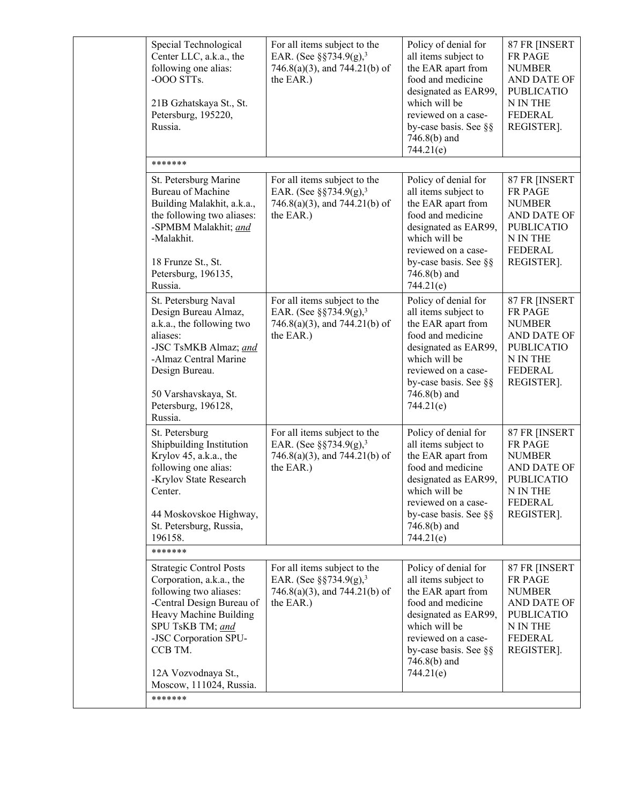| Special Technological<br>Center LLC, a.k.a., the<br>following one alias:<br>-OOO STTs.<br>21B Gzhatskaya St., St.<br>Petersburg, 195220,<br>Russia.                                                                                                   | For all items subject to the<br>EAR. (See $\S$ §734.9(g), <sup>3</sup><br>$746.8(a)(3)$ , and $744.21(b)$ of<br>the EAR.) | Policy of denial for<br>all items subject to<br>the EAR apart from<br>food and medicine<br>designated as EAR99,<br>which will be<br>reviewed on a case-<br>by-case basis. See §§<br>746.8(b) and<br>744.21(e)   | 87 FR [INSERT<br>FR PAGE<br><b>NUMBER</b><br>AND DATE OF<br><b>PUBLICATIO</b><br>N IN THE<br><b>FEDERAL</b><br>REGISTER].        |
|-------------------------------------------------------------------------------------------------------------------------------------------------------------------------------------------------------------------------------------------------------|---------------------------------------------------------------------------------------------------------------------------|-----------------------------------------------------------------------------------------------------------------------------------------------------------------------------------------------------------------|----------------------------------------------------------------------------------------------------------------------------------|
| *******                                                                                                                                                                                                                                               |                                                                                                                           |                                                                                                                                                                                                                 |                                                                                                                                  |
| St. Petersburg Marine<br>Bureau of Machine<br>Building Malakhit, a.k.a.,<br>the following two aliases:<br>-SPMBM Malakhit; and<br>-Malakhit.<br>18 Frunze St., St.<br>Petersburg, 196135,<br>Russia.                                                  | For all items subject to the<br>EAR. (See $\S$ §734.9(g), <sup>3</sup><br>746.8(a)(3), and 744.21(b) of<br>the EAR.)      | Policy of denial for<br>all items subject to<br>the EAR apart from<br>food and medicine<br>designated as EAR99,<br>which will be<br>reviewed on a case-<br>by-case basis. See §§<br>$746.8(b)$ and<br>744.21(e) | 87 FR [INSERT<br>FR PAGE<br><b>NUMBER</b><br>AND DATE OF<br><b>PUBLICATIO</b><br>N IN THE<br><b>FEDERAL</b><br>REGISTER].        |
| St. Petersburg Naval<br>Design Bureau Almaz,<br>a.k.a., the following two<br>aliases:<br>-JSC TsMKB Almaz; and<br>-Almaz Central Marine<br>Design Bureau.<br>50 Varshavskaya, St.<br>Petersburg, 196128,<br>Russia.                                   | For all items subject to the<br>EAR. (See $\S$ §734.9(g), <sup>3</sup><br>746.8(a)(3), and 744.21(b) of<br>the EAR.)      | Policy of denial for<br>all items subject to<br>the EAR apart from<br>food and medicine<br>designated as EAR99,<br>which will be<br>reviewed on a case-<br>by-case basis. See §§<br>746.8(b) and<br>744.21(e)   | 87 FR [INSERT<br><b>FR PAGE</b><br><b>NUMBER</b><br>AND DATE OF<br><b>PUBLICATIO</b><br>N IN THE<br><b>FEDERAL</b><br>REGISTER]. |
| St. Petersburg<br>Shipbuilding Institution<br>Krylov 45, a.k.a., the<br>following one alias:<br>-Krylov State Research<br>Center.<br>44 Moskovskoe Highway,<br>St. Petersburg, Russia,<br>196158.                                                     | For all items subject to the<br>EAR. (See $\S$ §734.9(g), <sup>3</sup><br>746.8(a)(3), and 744.21(b) of<br>the EAR.)      | Policy of denial for<br>all items subject to<br>the EAR apart from<br>food and medicine<br>designated as EAR99,<br>which will be<br>reviewed on a case-<br>by-case basis. See §§<br>746.8(b) and<br>744.21(e)   | 87 FR [INSERT<br>FR PAGE<br><b>NUMBER</b><br>AND DATE OF<br><b>PUBLICATIO</b><br>N IN THE<br><b>FEDERAL</b><br>REGISTER].        |
| *******                                                                                                                                                                                                                                               |                                                                                                                           |                                                                                                                                                                                                                 |                                                                                                                                  |
| <b>Strategic Control Posts</b><br>Corporation, a.k.a., the<br>following two aliases:<br>-Central Design Bureau of<br>Heavy Machine Building<br>SPU TsKB TM; and<br>-JSC Corporation SPU-<br>CCB TM.<br>12A Vozvodnaya St.,<br>Moscow, 111024, Russia. | For all items subject to the<br>EAR. (See $\S$ §734.9(g), <sup>3</sup><br>746.8(a)(3), and 744.21(b) of<br>the EAR.)      | Policy of denial for<br>all items subject to<br>the EAR apart from<br>food and medicine<br>designated as EAR99,<br>which will be<br>reviewed on a case-<br>by-case basis. See §§<br>$746.8(b)$ and<br>744.21(e) | 87 FR [INSERT<br>FR PAGE<br><b>NUMBER</b><br>AND DATE OF<br><b>PUBLICATIO</b><br>N IN THE<br><b>FEDERAL</b><br>REGISTER].        |
| *******                                                                                                                                                                                                                                               |                                                                                                                           |                                                                                                                                                                                                                 |                                                                                                                                  |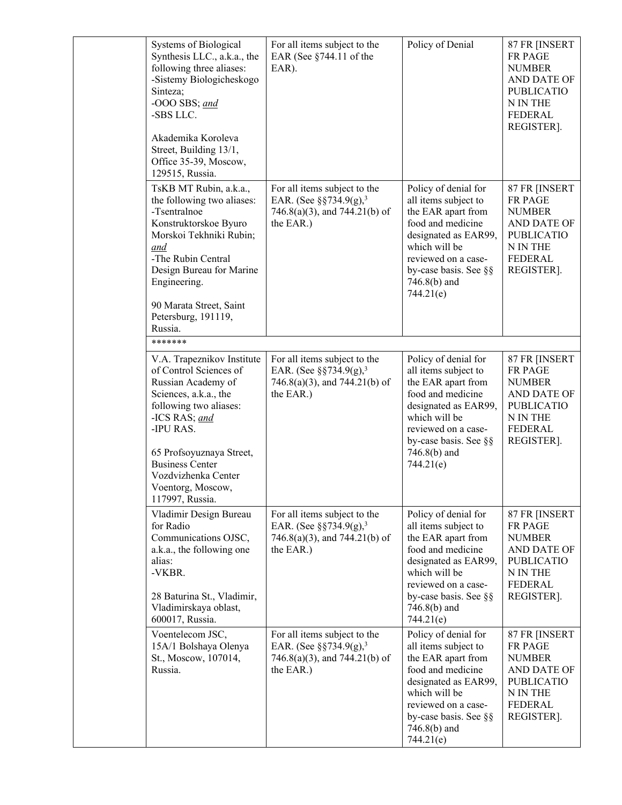| Systems of Biological<br>Synthesis LLC., a.k.a., the<br>following three aliases:<br>-Sistemy Biologicheskogo<br>Sinteza;<br>-OOO SBS; and<br>-SBS LLC.<br>Akademika Koroleva<br>Street, Building 13/1,<br>Office 35-39, Moscow,<br>129515, Russia.                               | For all items subject to the<br>EAR (See §744.11 of the<br>EAR).                                                     | Policy of Denial                                                                                                                                                                                                | 87 FR [INSERT<br>FR PAGE<br><b>NUMBER</b><br>AND DATE OF<br><b>PUBLICATIO</b><br>N IN THE<br><b>FEDERAL</b><br>REGISTER]. |
|----------------------------------------------------------------------------------------------------------------------------------------------------------------------------------------------------------------------------------------------------------------------------------|----------------------------------------------------------------------------------------------------------------------|-----------------------------------------------------------------------------------------------------------------------------------------------------------------------------------------------------------------|---------------------------------------------------------------------------------------------------------------------------|
| TsKB MT Rubin, a.k.a.,<br>the following two aliases:<br>-Tsentralnoe<br>Konstruktorskoe Byuro<br>Morskoi Tekhniki Rubin;<br>and<br>-The Rubin Central<br>Design Bureau for Marine<br>Engineering.<br>90 Marata Street, Saint<br>Petersburg, 191119,<br>Russia.                   | For all items subject to the<br>EAR. (See §§734.9(g), <sup>3</sup><br>746.8(a)(3), and 744.21(b) of<br>the EAR.)     | Policy of denial for<br>all items subject to<br>the EAR apart from<br>food and medicine<br>designated as EAR99,<br>which will be<br>reviewed on a case-<br>by-case basis. See §§<br>$746.8(b)$ and<br>744.21(e) | 87 FR [INSERT<br>FR PAGE<br><b>NUMBER</b><br>AND DATE OF<br><b>PUBLICATIO</b><br>N IN THE<br><b>FEDERAL</b><br>REGISTER]. |
| *******                                                                                                                                                                                                                                                                          |                                                                                                                      |                                                                                                                                                                                                                 |                                                                                                                           |
| V.A. Trapeznikov Institute<br>of Control Sciences of<br>Russian Academy of<br>Sciences, a.k.a., the<br>following two aliases:<br>-ICS RAS; and<br>-IPU RAS.<br>65 Profsoyuznaya Street,<br><b>Business Center</b><br>Vozdvizhenka Center<br>Voentorg, Moscow,<br>117997, Russia. | For all items subject to the<br>EAR. (See $\S$ §734.9(g), <sup>3</sup><br>746.8(a)(3), and 744.21(b) of<br>the EAR.) | Policy of denial for<br>all items subject to<br>the EAR apart from<br>food and medicine<br>designated as EAR99,<br>which will be<br>reviewed on a case-<br>by-case basis. See §§<br>$746.8(b)$ and<br>744.21(e) | 87 FR [INSERT<br>FR PAGE<br><b>NUMBER</b><br>AND DATE OF<br><b>PUBLICATIO</b><br>N IN THE<br><b>FEDERAL</b><br>REGISTER]. |
| Vladimir Design Bureau<br>for Radio<br>Communications OJSC,<br>a.k.a., the following one<br>alias:<br>-VKBR.<br>28 Baturina St., Vladimir,<br>Vladimirskaya oblast,<br>600017, Russia.                                                                                           | For all items subject to the<br>EAR. (See $\S$ §734.9(g), <sup>3</sup><br>746.8(a)(3), and 744.21(b) of<br>the EAR.) | Policy of denial for<br>all items subject to<br>the EAR apart from<br>food and medicine<br>designated as EAR99,<br>which will be<br>reviewed on a case-<br>by-case basis. See §§<br>746.8(b) and<br>744.21(e)   | 87 FR [INSERT<br>FR PAGE<br><b>NUMBER</b><br>AND DATE OF<br><b>PUBLICATIO</b><br>N IN THE<br>FEDERAL<br>REGISTER].        |
| Voentelecom JSC,<br>15A/1 Bolshaya Olenya<br>St., Moscow, 107014,<br>Russia.                                                                                                                                                                                                     | For all items subject to the<br>EAR. (See $\S$ §734.9(g), <sup>3</sup><br>746.8(a)(3), and 744.21(b) of<br>the EAR.) | Policy of denial for<br>all items subject to<br>the EAR apart from<br>food and medicine<br>designated as EAR99,<br>which will be<br>reviewed on a case-<br>by-case basis. See §§<br>$746.8(b)$ and<br>744.21(e) | 87 FR [INSERT<br>FR PAGE<br><b>NUMBER</b><br>AND DATE OF<br><b>PUBLICATIO</b><br>N IN THE<br><b>FEDERAL</b><br>REGISTER]. |